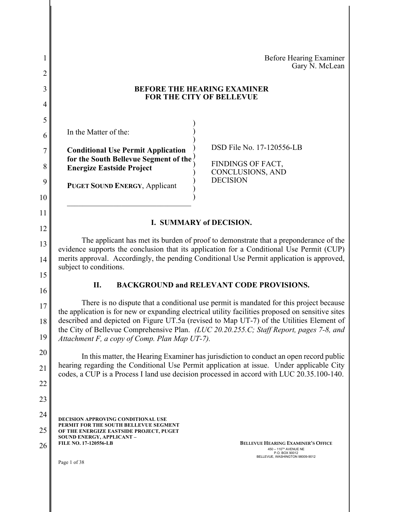| 1<br>2   | Before Hearing Examiner<br>Gary N. McLean                                                                                                                                                                                            |
|----------|--------------------------------------------------------------------------------------------------------------------------------------------------------------------------------------------------------------------------------------|
| 3        | <b>BEFORE THE HEARING EXAMINER</b>                                                                                                                                                                                                   |
| 4        | <b>FOR THE CITY OF BELLEVUE</b>                                                                                                                                                                                                      |
| 5        |                                                                                                                                                                                                                                      |
| 6        | In the Matter of the:                                                                                                                                                                                                                |
| 7        | DSD File No. 17-120556-LB<br><b>Conditional Use Permit Application</b>                                                                                                                                                               |
| 8        | for the South Bellevue Segment of the<br>FINDINGS OF FACT,<br><b>Energize Eastside Project</b><br>CONCLUSIONS, AND                                                                                                                   |
| 9        | <b>DECISION</b><br><b>PUGET SOUND ENERGY, Applicant</b>                                                                                                                                                                              |
| 10       |                                                                                                                                                                                                                                      |
| 11       | I. SUMMARY of DECISION.                                                                                                                                                                                                              |
| 12       |                                                                                                                                                                                                                                      |
| 13       | The applicant has met its burden of proof to demonstrate that a preponderance of the<br>evidence supports the conclusion that its application for a Conditional Use Permit (CUP)                                                     |
| 14       | merits approval. Accordingly, the pending Conditional Use Permit application is approved,<br>subject to conditions.                                                                                                                  |
| 15<br>16 | <b>BACKGROUND and RELEVANT CODE PROVISIONS.</b><br>П.                                                                                                                                                                                |
|          | There is no dispute that a conditional use permit is mandated for this project because                                                                                                                                               |
| 17       | the application is for new or expanding electrical utility facilities proposed on sensitive sites                                                                                                                                    |
| 18<br>19 | described and depicted on Figure UT.5a (revised to Map UT-7) of the Utilities Element of<br>the City of Bellevue Comprehensive Plan. (LUC 20.20.255.C; Staff Report, pages 7-8, and<br>Attachment F, a copy of Comp. Plan Map UT-7). |
| 20       | In this matter, the Hearing Examiner has jurisdiction to conduct an open record public                                                                                                                                               |
| 21       | hearing regarding the Conditional Use Permit application at issue. Under applicable City<br>codes, a CUP is a Process I land use decision processed in accord with LUC 20.35.100-140.                                                |
| 22       |                                                                                                                                                                                                                                      |
| 23       |                                                                                                                                                                                                                                      |
| 24       | <b>DECISION APPROVING CONDITIONAL USE</b>                                                                                                                                                                                            |
| 25       | PERMIT FOR THE SOUTH BELLEVUE SEGMENT<br>OF THE ENERGIZE EASTSIDE PROJECT, PUGET                                                                                                                                                     |
| 26       | <b>SOUND ENERGY, APPLICANT -</b><br><b>FILE NO. 17-120556-LB</b><br><b>BELLEVUE HEARING EXAMINER'S OFFICE</b><br>450 - 110 <sup>TH</sup> AVENUE NE                                                                                   |
|          | P.O. BOX 90012<br>BELLEVUE, WASHINGTON 98009-9012<br>Page 1 of 38                                                                                                                                                                    |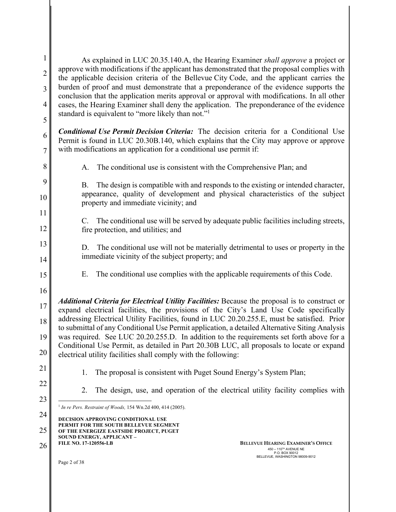| $\mathbf{1}$   | As explained in LUC 20.35.140.A, the Hearing Examiner shall approve a project or                                                                                                                                  |
|----------------|-------------------------------------------------------------------------------------------------------------------------------------------------------------------------------------------------------------------|
| $\overline{2}$ | approve with modifications if the applicant has demonstrated that the proposal complies with<br>the applicable decision criteria of the Bellevue City Code, and the applicant carries the                         |
| 3              | burden of proof and must demonstrate that a preponderance of the evidence supports the<br>conclusion that the application merits approval or approval with modifications. In all other                            |
| $\overline{4}$ | cases, the Hearing Examiner shall deny the application. The preponderance of the evidence                                                                                                                         |
| 5              | standard is equivalent to "more likely than not." <sup>1</sup>                                                                                                                                                    |
| 6              | <b>Conditional Use Permit Decision Criteria:</b> The decision criteria for a Conditional Use<br>Permit is found in LUC 20.30B.140, which explains that the City may approve or approve                            |
| $\overline{7}$ | with modifications an application for a conditional use permit if:                                                                                                                                                |
| 8              | The conditional use is consistent with the Comprehensive Plan; and<br>A.                                                                                                                                          |
| 9<br>10        | The design is compatible with and responds to the existing or intended character,<br>B.<br>appearance, quality of development and physical characteristics of the subject<br>property and immediate vicinity; and |
| 11             |                                                                                                                                                                                                                   |
| 12             | C. The conditional use will be served by adequate public facilities including streets,<br>fire protection, and utilities; and                                                                                     |
| 13<br>14       | D. The conditional use will not be materially detrimental to uses or property in the<br>immediate vicinity of the subject property; and                                                                           |
|                |                                                                                                                                                                                                                   |
| 15             | The conditional use complies with the applicable requirements of this Code.<br>Е.                                                                                                                                 |
| 16             | <b>Additional Criteria for Electrical Utility Facilities:</b> Because the proposal is to construct or                                                                                                             |
| 17             | expand electrical facilities, the provisions of the City's Land Use Code specifically<br>addressing Electrical Utility Facilities, found in LUC 20.20.255.E, must be satisfied. Prior                             |
| 18             | to submittal of any Conditional Use Permit application, a detailed Alternative Siting Analysis                                                                                                                    |
| <sup>19</sup>  | was required. See LUC 20.20.255.D. In addition to the requirements set forth above for a<br>Conditional Use Permit, as detailed in Part 20.30B LUC, all proposals to locate or expand                             |
| 20             | electrical utility facilities shall comply with the following:                                                                                                                                                    |
| 21             | The proposal is consistent with Puget Sound Energy's System Plan;<br>1.                                                                                                                                           |
| 22             | The design, use, and operation of the electrical utility facility complies with<br>2.                                                                                                                             |
| 23             | <sup>1</sup> In re Pers. Restraint of Woods, 154 Wn.2d 400, 414 (2005).                                                                                                                                           |
| 24             | <b>DECISION APPROVING CONDITIONAL USE</b>                                                                                                                                                                         |
| 25             | PERMIT FOR THE SOUTH BELLEVUE SEGMENT<br>OF THE ENERGIZE EASTSIDE PROJECT, PUGET                                                                                                                                  |
| 26             | SOUND ENERGY, APPLICANT -<br><b>FILE NO. 17-120556-LB</b><br><b>BELLEVUE HEARING EXAMINER'S OFFICE</b><br>450 - 110 <sup>TH</sup> AVENUE NE<br>P.O. BOX 90012                                                     |
|                | BELLEVUE, WASHINGTON 98009-9012<br>Page 2 of 38                                                                                                                                                                   |
|                |                                                                                                                                                                                                                   |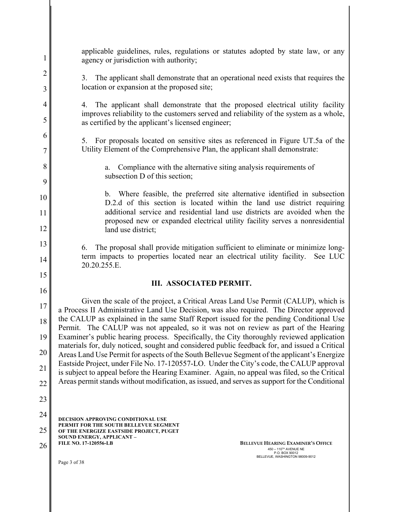| $\mathbf{1}$   | applicable guidelines, rules, regulations or statutes adopted by state law, or any<br>agency or jurisdiction with authority;                                                                 |
|----------------|----------------------------------------------------------------------------------------------------------------------------------------------------------------------------------------------|
| $\overline{2}$ | The applicant shall demonstrate that an operational need exists that requires the<br>3.                                                                                                      |
| $\mathfrak{Z}$ | location or expansion at the proposed site;                                                                                                                                                  |
| $\overline{4}$ | 4. The applicant shall demonstrate that the proposed electrical utility facility                                                                                                             |
| 5              | improves reliability to the customers served and reliability of the system as a whole,<br>as certified by the applicant's licensed engineer;                                                 |
| 6              | 5. For proposals located on sensitive sites as referenced in Figure UT.5a of the                                                                                                             |
| 7              | Utility Element of the Comprehensive Plan, the applicant shall demonstrate:                                                                                                                  |
| 8              | Compliance with the alternative siting analysis requirements of<br>a.                                                                                                                        |
| 9              | subsection D of this section;                                                                                                                                                                |
| 10             | b. Where feasible, the preferred site alternative identified in subsection<br>D.2.d of this section is located within the land use district requiring                                        |
| 11             | additional service and residential land use districts are avoided when the                                                                                                                   |
| 12             | proposed new or expanded electrical utility facility serves a nonresidential<br>land use district;                                                                                           |
| 13             | The proposal shall provide mitigation sufficient to eliminate or minimize long-<br>6.                                                                                                        |
| 14             | term impacts to properties located near an electrical utility facility. See LUC<br>20.20.255.E.                                                                                              |
|                |                                                                                                                                                                                              |
| 15             |                                                                                                                                                                                              |
| 16             | III. ASSOCIATED PERMIT.                                                                                                                                                                      |
| 17             | Given the scale of the project, a Critical Areas Land Use Permit (CALUP), which is<br>a Process II Administrative Land Use Decision, was also required. The Director approved                |
| 18             | the CALUP as explained in the same Staff Report issued for the pending Conditional Use<br>Permit. The CALUP was not appealed, so it was not on review as part of the Hearing                 |
| 19             | Examiner's public hearing process. Specifically, the City thoroughly reviewed application                                                                                                    |
| 20             | materials for, duly noticed, sought and considered public feedback for, and issued a Critical<br>Areas Land Use Permit for aspects of the South Bellevue Segment of the applicant's Energize |
| 21             | Eastside Project, under File No. 17-120557-LO. Under the City's code, the CALUP approval<br>is subject to appeal before the Hearing Examiner. Again, no appeal was filed, so the Critical    |
| 22             | Areas permit stands without modification, as issued, and serves as support for the Conditional                                                                                               |
| 23             |                                                                                                                                                                                              |
| 24             | <b>DECISION APPROVING CONDITIONAL USE</b>                                                                                                                                                    |
| 25             | PERMIT FOR THE SOUTH BELLEVUE SEGMENT<br>OF THE ENERGIZE EASTSIDE PROJECT, PUGET                                                                                                             |
| 26             | SOUND ENERGY, APPLICANT -<br><b>FILE NO. 17-120556-LB</b><br><b>BELLEVUE HEARING EXAMINER'S OFFICE</b><br>450 - 110TH AVENUE NE<br>P.O. BOX 90012<br>BELLEVUE, WASHINGTON 98009-9012         |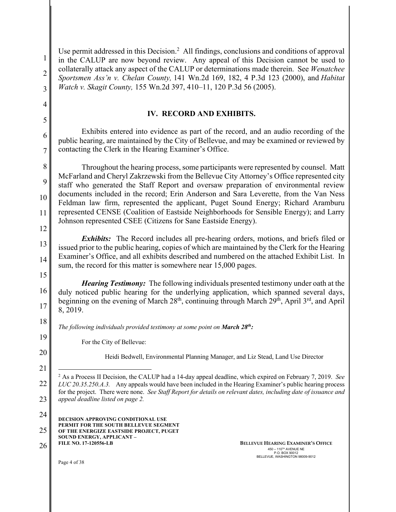| $\mathbf{1}$<br>$\overline{2}$<br>3 | Use permit addressed in this Decision. <sup>2</sup> All findings, conclusions and conditions of approval<br>in the CALUP are now beyond review. Any appeal of this Decision cannot be used to<br>collaterally attack any aspect of the CALUP or determinations made therein. See Wenatchee<br>Sportsmen Ass'n v. Chelan County, 141 Wn.2d 169, 182, 4 P.3d 123 (2000), and Habitat<br>Watch v. Skagit County, 155 Wn.2d 397, 410-11, 120 P.3d 56 (2005).                                                                                                                                                          |
|-------------------------------------|-------------------------------------------------------------------------------------------------------------------------------------------------------------------------------------------------------------------------------------------------------------------------------------------------------------------------------------------------------------------------------------------------------------------------------------------------------------------------------------------------------------------------------------------------------------------------------------------------------------------|
| $\overline{4}$                      | <b>IV. RECORD AND EXHIBITS.</b>                                                                                                                                                                                                                                                                                                                                                                                                                                                                                                                                                                                   |
| 5                                   |                                                                                                                                                                                                                                                                                                                                                                                                                                                                                                                                                                                                                   |
| 6<br>$\overline{7}$                 | Exhibits entered into evidence as part of the record, and an audio recording of the<br>public hearing, are maintained by the City of Bellevue, and may be examined or reviewed by<br>contacting the Clerk in the Hearing Examiner's Office.                                                                                                                                                                                                                                                                                                                                                                       |
| 8<br>9<br>10<br>11<br>12            | Throughout the hearing process, some participants were represented by counsel. Matt<br>McFarland and Cheryl Zakrzewski from the Bellevue City Attorney's Office represented city<br>staff who generated the Staff Report and oversaw preparation of environmental review<br>documents included in the record; Erin Anderson and Sara Leverette, from the Van Ness<br>Feldman law firm, represented the applicant, Puget Sound Energy; Richard Aramburu<br>represented CENSE (Coalition of Eastside Neighborhoods for Sensible Energy); and Larry<br>Johnson represented CSEE (Citizens for Sane Eastside Energy). |
| 13<br>14                            | <b>Exhibits:</b> The Record includes all pre-hearing orders, motions, and briefs filed or<br>issued prior to the public hearing, copies of which are maintained by the Clerk for the Hearing<br>Examiner's Office, and all exhibits described and numbered on the attached Exhibit List. In<br>sum, the record for this matter is somewhere near 15,000 pages.                                                                                                                                                                                                                                                    |
| 15<br>16<br>17                      | <b>Hearing Testimony:</b> The following individuals presented testimony under oath at the<br>duly noticed public hearing for the underlying application, which spanned several days,<br>beginning on the evening of March 28 <sup>th</sup> , continuing through March 29 <sup>th</sup> , April 3 <sup>rd</sup> , and April<br>8, 2019.                                                                                                                                                                                                                                                                            |
| 18                                  | The following individuals provided testimony at some point on March 28 <sup>th</sup> :                                                                                                                                                                                                                                                                                                                                                                                                                                                                                                                            |
| 19                                  | For the City of Bellevue:                                                                                                                                                                                                                                                                                                                                                                                                                                                                                                                                                                                         |
| 20<br>21                            | Heidi Bedwell, Environmental Planning Manager, and Liz Stead, Land Use Director                                                                                                                                                                                                                                                                                                                                                                                                                                                                                                                                   |
| 22<br>23                            | <sup>2</sup> As a Process II Decision, the CALUP had a 14-day appeal deadline, which expired on February 7, 2019. See<br>LUC 20.35.250.A.3. Any appeals would have been included in the Hearing Examiner's public hearing process<br>for the project. There were none. See Staff Report for details on relevant dates, including date of issuance and<br>appeal deadline listed on page 2.                                                                                                                                                                                                                        |
| 24<br>25<br>26                      | <b>DECISION APPROVING CONDITIONAL USE</b><br>PERMIT FOR THE SOUTH BELLEVUE SEGMENT<br>OF THE ENERGIZE EASTSIDE PROJECT, PUGET<br>SOUND ENERGY, APPLICANT -<br>FILE NO. 17-120556-LB<br><b>BELLEVUE HEARING EXAMINER'S OFFICE</b><br>450 - 110 <sup>TH</sup> AVENUE NE<br>P.O. BOX 90012<br>BELLEVUE, WASHINGTON 98009-9012                                                                                                                                                                                                                                                                                        |
|                                     | Page 4 of 38                                                                                                                                                                                                                                                                                                                                                                                                                                                                                                                                                                                                      |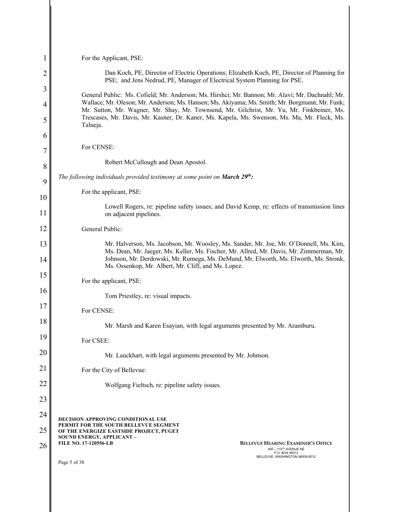| 1      | For the Applicant, PSE:                                                                                                                                                                                                                                                                      |
|--------|----------------------------------------------------------------------------------------------------------------------------------------------------------------------------------------------------------------------------------------------------------------------------------------------|
| 2      | Dan Koch, PE, Director of Electric Operations; Elizabeth Koch, PE, Director of Planning for<br>PSE; and Jens Nedrud, PE, Manager of Electrical System Planning for PSE.                                                                                                                      |
| 3      | General Public: Ms. Cofield; Mr. Anderson; Ms. Hirshci; Mr. Bannon; Mr. Alavi; Mr. Dachnahl; Mr.                                                                                                                                                                                             |
| 4<br>5 | Wallace; Mr. Oleson; Mr. Anderson; Ms. Hansen; Ms. Akiyama; Ms. Smith; Mr. Borgmann; Mr. Funk;<br>Mr. Sutton, Mr. Wagner, Mr. Shay, Mr. Townsend, Mr. Gilchrist, Mr. Yu, Mr. Finkbeiner, Ms.<br>Trescases, Mr. Davis, Mr. Kasner, Dr. Kaner, Ms. Kapela, Ms. Swenson, Ms. Ma, Mr. Fleck, Ms. |
| 6      | Talneja.                                                                                                                                                                                                                                                                                     |
| 7      | For CENSE:                                                                                                                                                                                                                                                                                   |
| 8      | Robert McCullough and Dean Apostol.                                                                                                                                                                                                                                                          |
| 9      | The following individuals provided testimony at some point on March $29th$ :                                                                                                                                                                                                                 |
| 10     | For the applicant, PSE:                                                                                                                                                                                                                                                                      |
| 11     | Lowell Rogers, re: pipeline safety issues; and David Kemp, re: effects of transmission lines<br>on adjacent pipelines.                                                                                                                                                                       |
| 12     | General Public:                                                                                                                                                                                                                                                                              |
| 13     | Mr. Halverson, Ms. Jacobson, Mr. Woosley, Ms. Sander, Mr. Joe, Mr. O'Donnell, Ms. Kim,<br>Ms. Dean, Mr. Jaeger, Ms. Keller, Ms. Fischer, Mr. Allred, Mr. Davis, Mr. Zimmerman, Mr.                                                                                                           |
| 14     | Johnson, Mr. Derdowski, Mr. Rumega, Ms. DeMund, Mr. Elworth, Ms. Elworth, Ms. Stronk,<br>Ms. Ossenkop, Mr. Albert, Mr. Cliff, and Ms. Lopez.                                                                                                                                                 |
| 15     | For the applicant, PSE:                                                                                                                                                                                                                                                                      |
| 16     | Tom Priestley, re: visual impacts.                                                                                                                                                                                                                                                           |
| 17     | For CENSE:                                                                                                                                                                                                                                                                                   |
| 18     | Mr. Marsh and Karen Esayian, with legal arguments presented by Mr. Aramburu.                                                                                                                                                                                                                 |
| 19     | For CSEE:                                                                                                                                                                                                                                                                                    |
| 20     | Mr. Lauckhart, with legal arguments presented by Mr. Johnson.                                                                                                                                                                                                                                |
| 21     | For the City of Bellevue:                                                                                                                                                                                                                                                                    |
| 22     | Wolfgang Fieltsch, re: pipeline safety issues.                                                                                                                                                                                                                                               |
| 23     |                                                                                                                                                                                                                                                                                              |
| 24     | <b>DECISION APPROVING CONDITIONAL USE</b>                                                                                                                                                                                                                                                    |
| 25     | PERMIT FOR THE SOUTH BELLEVUE SEGMENT<br>OF THE ENERGIZE EASTSIDE PROJECT, PUGET<br>SOUND ENERGY, APPLICANT -                                                                                                                                                                                |
| 26     | <b>FILE NO. 17-120556-LB</b><br><b>BELLEVUE HEARING EXAMINER'S OFFICE</b><br>450 - 110 <sup>TH</sup> AVENUE NE<br>P.O. BOX 90012<br>BELLEVUE, WASHINGTON 98009-9012                                                                                                                          |
|        | Page 5 of 38                                                                                                                                                                                                                                                                                 |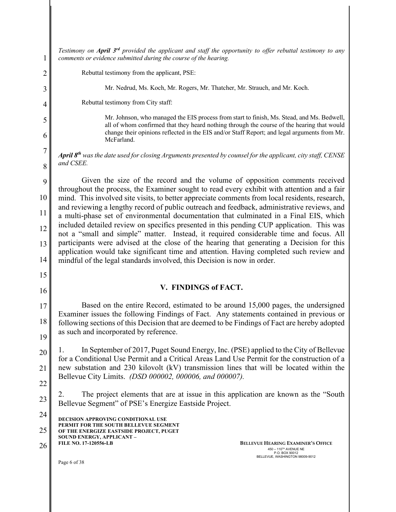**DECISION APPROVING CONDITIONAL USE PERMIT FOR THE SOUTH BELLEVUE SEGMENT OF THE ENERGIZE EASTSIDE PROJECT, PUGET SOUND ENERGY, APPLICANT – FILE NO. 17-120556-LB**  Page 6 of 38 1 2 3 4 5 6 7 8 9 10 11 12 13 14 15 16 17 18 19 20 21 22 23 24 25 26 **BELLEVUE HEARING EXAMINER'S OFFICE**  $450 - 110^{7H}$  AVENUE NE P.O. BOX 90012 BELLEVUE, WASHINGTON 98009-9012 *Testimony on April 3rd provided the applicant and staff the opportunity to offer rebuttal testimony to any comments or evidence submitted during the course of the hearing.* Rebuttal testimony from the applicant, PSE: Mr. Nedrud, Ms. Koch, Mr. Rogers, Mr. Thatcher, Mr. Strauch, and Mr. Koch. Rebuttal testimony from City staff: Mr. Johnson, who managed the EIS process from start to finish, Ms. Stead, and Ms. Bedwell, all of whom confirmed that they heard nothing through the course of the hearing that would change their opinions reflected in the EIS and/or Staff Report; and legal arguments from Mr. McFarland. *April 8th was the date used for closing Arguments presented by counsel for the applicant, city staff, CENSE and CSEE.* Given the size of the record and the volume of opposition comments received throughout the process, the Examiner sought to read every exhibit with attention and a fair mind. This involved site visits, to better appreciate comments from local residents, research, and reviewing a lengthy record of public outreach and feedback, administrative reviews, and a multi-phase set of environmental documentation that culminated in a Final EIS, which included detailed review on specifics presented in this pending CUP application. This was not a "small and simple" matter. Instead, it required considerable time and focus. All participants were advised at the close of the hearing that generating a Decision for this application would take significant time and attention. Having completed such review and mindful of the legal standards involved, this Decision is now in order. **V. FINDINGS of FACT.** Based on the entire Record, estimated to be around 15,000 pages, the undersigned Examiner issues the following Findings of Fact. Any statements contained in previous or following sections of this Decision that are deemed to be Findings of Fact are hereby adopted as such and incorporated by reference. 1. In September of 2017, Puget Sound Energy, Inc. (PSE) applied to the City of Bellevue for a Conditional Use Permit and a Critical Areas Land Use Permit for the construction of a new substation and 230 kilovolt (kV) transmission lines that will be located within the Bellevue City Limits. *(DSD 000002, 000006, and 000007).* 2. The project elements that are at issue in this application are known as the "South Bellevue Segment" of PSE's Energize Eastside Project.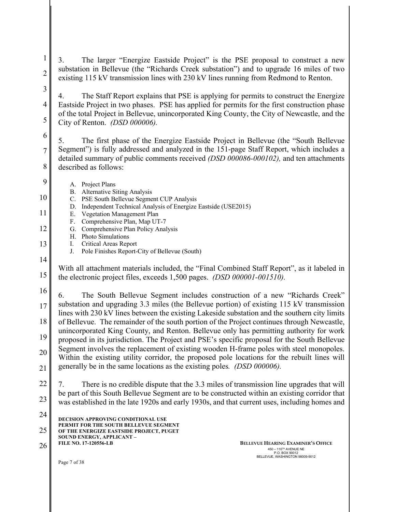3. The larger "Energize Eastside Project" is the PSE proposal to construct a new substation in Bellevue (the "Richards Creek substation") and to upgrade 16 miles of two existing 115 kV transmission lines with 230 kV lines running from Redmond to Renton.

4. The Staff Report explains that PSE is applying for permits to construct the Energize Eastside Project in two phases. PSE has applied for permits for the first construction phase of the total Project in Bellevue, unincorporated King County, the City of Newcastle, and the City of Renton. *(DSD 000006).*

5. The first phase of the Energize Eastside Project in Bellevue (the "South Bellevue Segment") is fully addressed and analyzed in the 151-page Staff Report, which includes a detailed summary of public comments received *(DSD 000086-000102),* and ten attachments described as follows:

8 9

1

2

3

4

5

6

7

A. Project Plans

10

B. Alternative Siting Analysis C. PSE South Bellevue Segment CUP Analysis

- D. Independent Technical Analysis of Energize Eastside (USE2015)
- 11
	- E. Vegetation Management Plan F. Comprehensive Plan, Map UT-7
	- G. Comprehensive Plan Policy Analysis
		- H. Photo Simulations
		- I. Critical Areas Report J. Pole Finishes Report-City of Bellevue (South)
- 13 14

15

12

With all attachment materials included, the "Final Combined Staff Report", as it labeled in the electronic project files, exceeds 1,500 pages. *(DSD 000001-001510).*

16

17 18 19 20 21 6. The South Bellevue Segment includes construction of a new "Richards Creek" substation and upgrading 3.3 miles (the Bellevue portion) of existing 115 kV transmission lines with 230 kV lines between the existing Lakeside substation and the southern city limits of Bellevue. The remainder of the south portion of the Project continues through Newcastle, unincorporated King County, and Renton. Bellevue only has permitting authority for work proposed in its jurisdiction. The Project and PSE's specific proposal for the South Bellevue Segment involves the replacement of existing wooden H-frame poles with steel monopoles. Within the existing utility corridor, the proposed pole locations for the rebuilt lines will generally be in the same locations as the existing poles*. (DSD 000006).*

22 23 7. There is no credible dispute that the 3.3 miles of transmission line upgrades that will be part of this South Bellevue Segment are to be constructed within an existing corridor that was established in the late 1920s and early 1930s, and that current uses, including homes and

| 24 | <b>DECISION APPROVING CONDITIONAL USE</b>                                        |
|----|----------------------------------------------------------------------------------|
| 25 | PERMIT FOR THE SOUTH BELLEVUE SEGMENT<br>OF THE ENERGIZE EASTSIDE PROJECT, PUGET |
| 26 | <b>SOUND ENERGY, APPLICANT -</b><br><b>FILE NO. 17-120556-LB</b>                 |

26 **BELLEVUE HEARING EXAMINER'S OFFICE**  $450 - 110^{7H}$  AVENUE NE P.O. BOX 90012 BELLEVUE, WASHINGTON 98009-9012

Page 7 of 38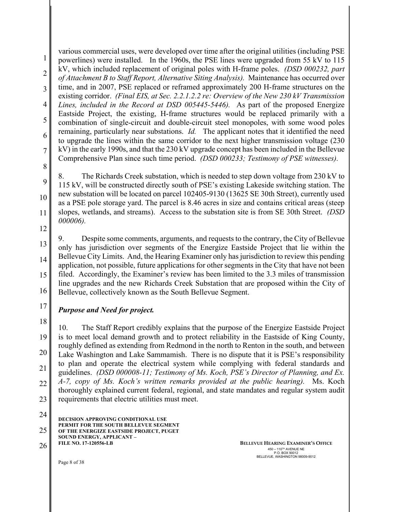1 2 3 4 5 6 7 8 various commercial uses, were developed over time after the original utilities (including PSE powerlines) were installed. In the 1960s, the PSE lines were upgraded from 55 kV to 115 kV, which included replacement of original poles with H-frame poles. *(DSD 000232, part of Attachment B to Staff Report, Alternative Siting Analysis).* Maintenance has occurred over time, and in 2007, PSE replaced or reframed approximately 200 H-frame structures on the existing corridor. *(Final EIS, at Sec. 2.2.1.2.2 re: Overview of the New 230 kV Transmission Lines, included in the Record at DSD 005445-5446).* As part of the proposed Energize Eastside Project, the existing, H-frame structures would be replaced primarily with a combination of single-circuit and double-circuit steel monopoles, with some wood poles remaining, particularly near substations. *Id.* The applicant notes that it identified the need to upgrade the lines within the same corridor to the next higher transmission voltage (230 kV) in the early 1990s, and that the 230 kV upgrade concept has been included in the Bellevue Comprehensive Plan since such time period. *(DSD 000233; Testimony of PSE witnesses).*

8. The Richards Creek substation, which is needed to step down voltage from 230 kV to 115 kV, will be constructed directly south of PSE's existing Lakeside switching station. The new substation will be located on parcel 102405-9130 (13625 SE 30th Street), currently used as a PSE pole storage yard. The parcel is 8.46 acres in size and contains critical areas (steep slopes, wetlands, and streams). Access to the substation site is from SE 30th Street. *(DSD 000006).*

12

9

10

11

13 14 15 16 9. Despite some comments, arguments, and requests to the contrary, the City of Bellevue only has jurisdiction over segments of the Energize Eastside Project that lie within the Bellevue City Limits. And, the Hearing Examiner only has jurisdiction to review this pending application, not possible, future applications for other segments in the City that have not been filed. Accordingly, the Examiner's review has been limited to the 3.3 miles of transmission line upgrades and the new Richards Creek Substation that are proposed within the City of Bellevue, collectively known as the South Bellevue Segment.

### 17 *Purpose and Need for project.*

18 19 20 21 22 23 10. The Staff Report credibly explains that the purpose of the Energize Eastside Project is to meet local demand growth and to protect reliability in the Eastside of King County, roughly defined as extending from Redmond in the north to Renton in the south, and between Lake Washington and Lake Sammamish. There is no dispute that it is PSE's responsibility to plan and operate the electrical system while complying with federal standards and guidelines. *(DSD 000008-11; Testimony of Ms. Koch, PSE's Director of Planning, and Ex. A-7, copy of Ms. Koch's written remarks provided at the public hearing).* Ms. Koch thoroughly explained current federal, regional, and state mandates and regular system audit requirements that electric utilities must meet.

**DECISION APPROVING CONDITIONAL USE PERMIT FOR THE SOUTH BELLEVUE SEGMENT OF THE ENERGIZE EASTSIDE PROJECT, PUGET SOUND ENERGY, APPLICANT – FILE NO. 17-120556-LB**  24 25 26 **BELLEVUE HEARING EXAMINER'S OFFICE** 

 $450 - 110^{7H}$  AVENUE NE P.O. BOX 90012 BELLEVUE, WASHINGTON 98009-9012

Page 8 of 38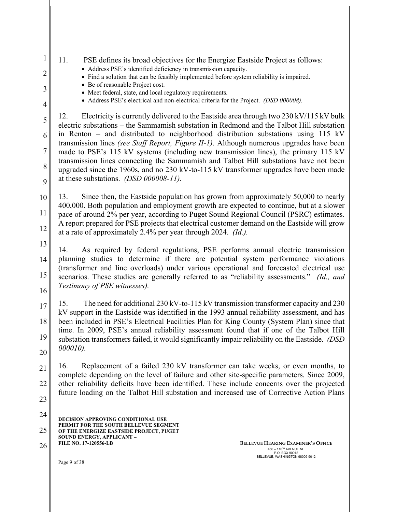**DECISION APPROVING CONDITIONAL USE PERMIT FOR THE SOUTH BELLEVUE SEGMENT OF THE ENERGIZE EASTSIDE PROJECT, PUGET SOUND ENERGY, APPLICANT – FILE NO. 17-120556-LB**  Page 9 of 38 1 2 3 4 5 6 7 8 9 10 11 12 13 14 15 16 17 18 19 20 21 22 23 24 25 26 **BELLEVUE HEARING EXAMINER'S OFFICE**  $450 - 110^{7H}$  AVENUE NE P.O. BOX 90012 BELLEVUE, WASHINGTON 98009-9012 11. PSE defines its broad objectives for the Energize Eastside Project as follows: • Address PSE's identified deficiency in transmission capacity. • Find a solution that can be feasibly implemented before system reliability is impaired. • Be of reasonable Project cost. • Meet federal, state, and local regulatory requirements. • Address PSE's electrical and non-electrical criteria for the Project. *(DSD 000008).* 12. Electricity is currently delivered to the Eastside area through two 230 kV/115 kV bulk electric substations – the Sammamish substation in Redmond and the Talbot Hill substation in Renton – and distributed to neighborhood distribution substations using 115 kV transmission lines *(see Staff Report, Figure II-1)*. Although numerous upgrades have been made to PSE's 115 kV systems (including new transmission lines), the primary 115 kV transmission lines connecting the Sammamish and Talbot Hill substations have not been upgraded since the 1960s, and no 230 kV-to-115 kV transformer upgrades have been made at these substations. *(DSD 000008-11).* 13. Since then, the Eastside population has grown from approximately 50,000 to nearly 400,000. Both population and employment growth are expected to continue, but at a slower pace of around 2% per year, according to Puget Sound Regional Council (PSRC) estimates. A report prepared for PSE projects that electrical customer demand on the Eastside will grow at a rate of approximately 2.4% per year through 2024. *(Id.).* 14. As required by federal regulations, PSE performs annual electric transmission planning studies to determine if there are potential system performance violations (transformer and line overloads) under various operational and forecasted electrical use scenarios. These studies are generally referred to as "reliability assessments." *(Id., and Testimony of PSE witnesses).* 15. The need for additional 230 kV-to-115 kV transmission transformer capacity and 230 kV support in the Eastside was identified in the 1993 annual reliability assessment, and has been included in PSE's Electrical Facilities Plan for King County (System Plan) since that time. In 2009, PSE's annual reliability assessment found that if one of the Talbot Hill substation transformers failed, it would significantly impair reliability on the Eastside. *(DSD 000010).* 16. Replacement of a failed 230 kV transformer can take weeks, or even months, to complete depending on the level of failure and other site-specific parameters. Since 2009, other reliability deficits have been identified. These include concerns over the projected future loading on the Talbot Hill substation and increased use of Corrective Action Plans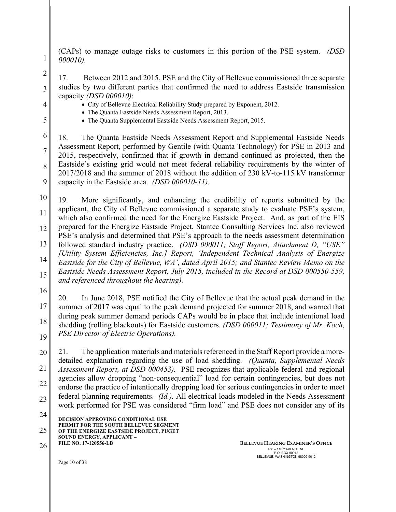(CAPs) to manage outage risks to customers in this portion of the PSE system. *(DSD 000010).*

17. Between 2012 and 2015, PSE and the City of Bellevue commissioned three separate studies by two different parties that confirmed the need to address Eastside transmission capacity *(DSD 000010)*:

4

1

2

3

5

• City of Bellevue Electrical Reliability Study prepared by Exponent, 2012.

- The Quanta Eastside Needs Assessment Report, 2013.
- The Quanta Supplemental Eastside Needs Assessment Report, 2015.

6 7 8 9 18. The Quanta Eastside Needs Assessment Report and Supplemental Eastside Needs Assessment Report, performed by Gentile (with Quanta Technology) for PSE in 2013 and 2015, respectively, confirmed that if growth in demand continued as projected, then the Eastside's existing grid would not meet federal reliability requirements by the winter of 2017/2018 and the summer of 2018 without the addition of 230 kV-to-115 kV transformer capacity in the Eastside area. *(DSD 000010-11).*

10 11 12 13 14 15 19. More significantly, and enhancing the credibility of reports submitted by the applicant, the City of Bellevue commissioned a separate study to evaluate PSE's system, which also confirmed the need for the Energize Eastside Project. And, as part of the EIS prepared for the Energize Eastside Project, Stantec Consulting Services Inc. also reviewed PSE's analysis and determined that PSE's approach to the needs assessment determination followed standard industry practice. *(DSD 000011; Staff Report, Attachment D, "USE" [Utility System Efficiencies, Inc.] Report, 'Independent Technical Analysis of Energize Eastside for the City of Bellevue, WA', dated April 2015; and Stantec Review Memo on the Eastside Needs Assessment Report, July 2015, included in the Record at DSD 000550-559, and referenced throughout the hearing).*

16

17 18 19 20. In June 2018, PSE notified the City of Bellevue that the actual peak demand in the summer of 2017 was equal to the peak demand projected for summer 2018, and warned that during peak summer demand periods CAPs would be in place that include intentional load shedding (rolling blackouts) for Eastside customers. *(DSD 000011; Testimony of Mr. Koch, PSE Director of Electric Operations).*

20 21 22 23 21. The application materials and materials referenced in the Staff Report provide a moredetailed explanation regarding the use of load shedding. *(Quanta, Supplemental Needs Assessment Report, at DSD 000453).* PSE recognizes that applicable federal and regional agencies allow dropping "non-consequential" load for certain contingencies, but does not endorse the practice of intentionally dropping load for serious contingencies in order to meet federal planning requirements. *(Id.).* All electrical loads modeled in the Needs Assessment work performed for PSE was considered "firm load" and PSE does not consider any of its

**DECISION APPROVING CONDITIONAL USE PERMIT FOR THE SOUTH BELLEVUE SEGMENT OF THE ENERGIZE EASTSIDE PROJECT, PUGET SOUND ENERGY, APPLICANT –** 24 25

**FILE NO. 17-120556-LB** 

26 **BELLEVUE HEARING EXAMINER'S OFFICE**  $450 - 110^{7H}$  AVENUE NE P.O. BOX 90012 BELLEVUE, WASHINGTON 98009-9012

Page 10 of 38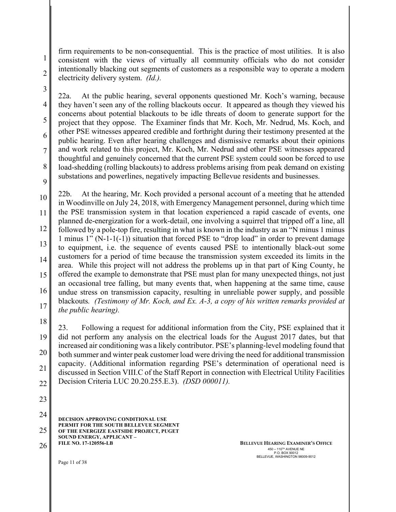firm requirements to be non-consequential. This is the practice of most utilities. It is also consistent with the views of virtually all community officials who do not consider intentionally blacking out segments of customers as a responsible way to operate a modern electricity delivery system. *(Id.).* 

3

1

2

4

5

6

7

8

9

22a. At the public hearing, several opponents questioned Mr. Koch's warning, because they haven't seen any of the rolling blackouts occur. It appeared as though they viewed his concerns about potential blackouts to be idle threats of doom to generate support for the project that they oppose. The Examiner finds that Mr. Koch, Mr. Nedrud, Ms. Koch, and other PSE witnesses appeared credible and forthright during their testimony presented at the public hearing. Even after hearing challenges and dismissive remarks about their opinions and work related to this project, Mr. Koch, Mr. Nedrud and other PSE witnesses appeared thoughtful and genuinely concerned that the current PSE system could soon be forced to use load-shedding (rolling blackouts) to address problems arising from peak demand on existing substations and powerlines, negatively impacting Bellevue residents and businesses.

10 11 12 13 14 15 16 17 22b. At the hearing, Mr. Koch provided a personal account of a meeting that he attended in Woodinville on July 24, 2018, with Emergency Management personnel, during which time the PSE transmission system in that location experienced a rapid cascade of events, one planned de-energization for a work-detail, one involving a squirrel that tripped off a line, all followed by a pole-top fire, resulting in what is known in the industry as an "N minus 1 minus 1 minus 1" (N-1-1(-1)) situation that forced PSE to "drop load" in order to prevent damage to equipment, i.e. the sequence of events caused PSE to intentionally black-out some customers for a period of time because the transmission system exceeded its limits in the area. While this project will not address the problems up in that part of King County, he offered the example to demonstrate that PSE must plan for many unexpected things, not just an occasional tree falling, but many events that, when happening at the same time, cause undue stress on transmission capacity, resulting in unreliable power supply, and possible blackouts*. (Testimony of Mr. Koch, and Ex. A-3, a copy of his written remarks provided at the public hearing).*

18 19 20 21 22 23. Following a request for additional information from the City, PSE explained that it did not perform any analysis on the electrical loads for the August 2017 dates, but that increased air conditioning was a likely contributor. PSE's planning-level modeling found that both summer and winter peak customer load were driving the need for additional transmission capacity. (Additional information regarding PSE's determination of operational need is discussed in Section VIII.C of the Staff Report in connection with Electrical Utility Facilities Decision Criteria LUC 20.20.255.E.3). *(DSD 000011).*

23

**DECISION APPROVING CONDITIONAL USE PERMIT FOR THE SOUTH BELLEVUE SEGMENT OF THE ENERGIZE EASTSIDE PROJECT, PUGET SOUND ENERGY, APPLICANT – FILE NO. 17-120556-LB**  24 25 26 **BELLEVUE HEARING EXAMINER'S OFFICE** 

 $450 - 110^{7H}$  AVENUE NE P.O. BOX 90012 BELLEVUE, WASHINGTON 98009-9012

Page 11 of 38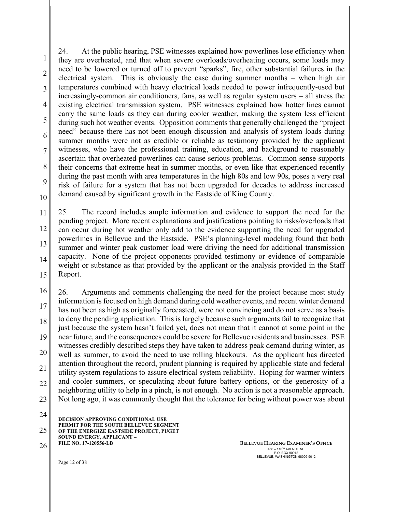1 2 3 4 5 6 7 8 9 10 24. At the public hearing, PSE witnesses explained how powerlines lose efficiency when they are overheated, and that when severe overloads/overheating occurs, some loads may need to be lowered or turned off to prevent "sparks", fire, other substantial failures in the electrical system. This is obviously the case during summer months – when high air temperatures combined with heavy electrical loads needed to power infrequently-used but increasingly-common air conditioners, fans, as well as regular system users – all stress the existing electrical transmission system. PSE witnesses explained how hotter lines cannot carry the same loads as they can during cooler weather, making the system less efficient during such hot weather events. Opposition comments that generally challenged the "project need" because there has not been enough discussion and analysis of system loads during summer months were not as credible or reliable as testimony provided by the applicant witnesses, who have the professional training, education, and background to reasonably ascertain that overheated powerlines can cause serious problems. Common sense supports their concerns that extreme heat in summer months, or even like that experienced recently during the past month with area temperatures in the high 80s and low 90s, poses a very real risk of failure for a system that has not been upgraded for decades to address increased demand caused by significant growth in the Eastside of King County.

11 12 13 14 15 25. The record includes ample information and evidence to support the need for the pending project. More recent explanations and justifications pointing to risks/overloads that can occur during hot weather only add to the evidence supporting the need for upgraded powerlines in Bellevue and the Eastside. PSE's planning-level modeling found that both summer and winter peak customer load were driving the need for additional transmission capacity. None of the project opponents provided testimony or evidence of comparable weight or substance as that provided by the applicant or the analysis provided in the Staff Report.

16 17 18 19 20 21 22 23 26. Arguments and comments challenging the need for the project because most study information is focused on high demand during cold weather events, and recent winter demand has not been as high as originally forecasted, were not convincing and do not serve as a basis to deny the pending application. This is largely because such arguments fail to recognize that just because the system hasn't failed yet, does not mean that it cannot at some point in the near future, and the consequences could be severe for Bellevue residents and businesses. PSE witnesses credibly described steps they have taken to address peak demand during winter, as well as summer, to avoid the need to use rolling blackouts. As the applicant has directed attention throughout the record, prudent planning is required by applicable state and federal utility system regulations to assure electrical system reliability. Hoping for warmer winters and cooler summers, or speculating about future battery options, or the generosity of a neighboring utility to help in a pinch, is not enough. No action is not a reasonable approach. Not long ago, it was commonly thought that the tolerance for being without power was about

**DECISION APPROVING CONDITIONAL USE PERMIT FOR THE SOUTH BELLEVUE SEGMENT OF THE ENERGIZE EASTSIDE PROJECT, PUGET SOUND ENERGY, APPLICANT – FILE NO. 17-120556-LB**  24 25 26 **BELLEVUE HEARING EXAMINER'S OFFICE** 

 $450 - 110^{7H}$  AVENUE NE P.O. BOX 90012 BELLEVUE, WASHINGTON 98009-9012

Page 12 of 38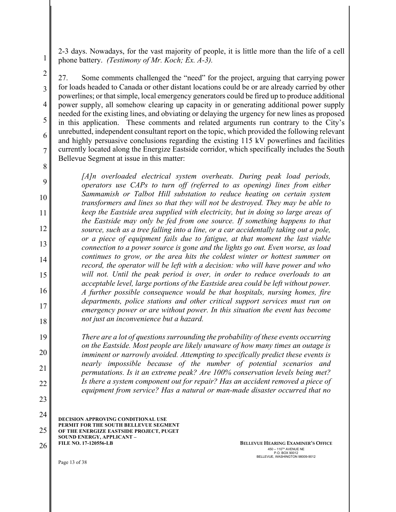2-3 days. Nowadays, for the vast majority of people, it is little more than the life of a cell phone battery. *(Testimony of Mr. Koch; Ex. A-3).*

4 6 7 27. Some comments challenged the "need" for the project, arguing that carrying power for loads headed to Canada or other distant locations could be or are already carried by other powerlines; or that simple, local emergency generators could be fired up to produce additional power supply, all somehow clearing up capacity in or generating additional power supply needed for the existing lines, and obviating or delaying the urgency for new lines as proposed in this application. These comments and related arguments run contrary to the City's unrebutted, independent consultant report on the topic, which provided the following relevant and highly persuasive conclusions regarding the existing 115 kV powerlines and facilities currently located along the Energize Eastside corridor, which specifically includes the South Bellevue Segment at issue in this matter:

*[A]n overloaded electrical system overheats. During peak load periods, operators use CAPs to turn off (referred to as opening) lines from either Sammamish or Talbot Hill substation to reduce heating on certain system transformers and lines so that they will not be destroyed. They may be able to keep the Eastside area supplied with electricity, but in doing so large areas of the Eastside may only be fed from one source. If something happens to that source, such as a tree falling into a line, or a car accidentally taking out a pole, or a piece of equipment fails due to fatigue, at that moment the last viable connection to a power source is gone and the lights go out. Even worse, as load continues to grow, or the area hits the coldest winter or hottest summer on record, the operator will be left with a decision: who will have power and who will not. Until the peak period is over, in order to reduce overloads to an acceptable level, large portions of the Eastside area could be left without power. A further possible consequence would be that hospitals, nursing homes, fire departments, police stations and other critical support services must run on emergency power or are without power. In this situation the event has become not just an inconvenience but a hazard.* 

*There are a lot of questions surrounding the probability of these events occurring on the Eastside. Most people are likely unaware of how many times an outage is imminent or narrowly avoided. Attempting to specifically predict these events is nearly impossible because of the number of potential scenarios and permutations. Is it an extreme peak? Are 100% conservation levels being met? Is there a system component out for repair? Has an accident removed a piece of equipment from service? Has a natural or man-made disaster occurred that no* 

**DECISION APPROVING CONDITIONAL USE PERMIT FOR THE SOUTH BELLEVUE SEGMENT OF THE ENERGIZE EASTSIDE PROJECT, PUGET SOUND ENERGY, APPLICANT – FILE NO. 17-120556-LB**  24 25

26 **BELLEVUE HEARING EXAMINER'S OFFICE**  $450 - 110^{7H}$  AVENUE NE P.O. BOX 90012 BELLEVUE, WASHINGTON 98009-9012

Page 13 of 38

1

2

3

5

8

9

10

11

12

13

14

15

16

17

18

19

20

21

22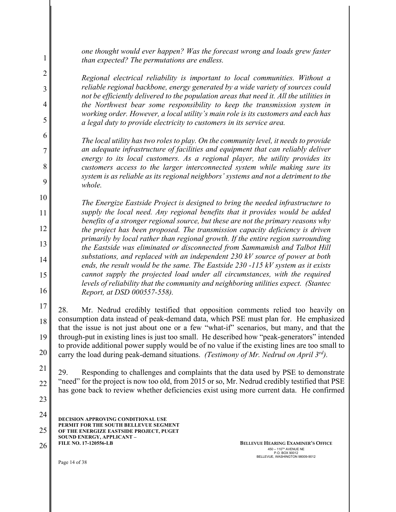*one thought would ever happen? Was the forecast wrong and loads grew faster than expected? The permutations are endless.* 

*Regional electrical reliability is important to local communities. Without a reliable regional backbone, energy generated by a wide variety of sources could not be efficiently delivered to the population areas that need it. All the utilities in the Northwest bear some responsibility to keep the transmission system in working order. However, a local utility's main role is its customers and each has a legal duty to provide electricity to customers in its service area.*

*The local utility has two roles to play. On the community level, it needs to provide an adequate infrastructure of facilities and equipment that can reliably deliver energy to its local customers. As a regional player, the utility provides its customers access to the larger interconnected system while making sure its system is as reliable as its regional neighbors' systems and not a detriment to the whole.* 

*The Energize Eastside Project is designed to bring the needed infrastructure to supply the local need. Any regional benefits that it provides would be added benefits of a stronger regional source, but these are not the primary reasons why the project has been proposed. The transmission capacity deficiency is driven primarily by local rather than regional growth. If the entire region surrounding the Eastside was eliminated or disconnected from Sammamish and Talbot Hill substations, and replaced with an independent 230 kV source of power at both ends, the result would be the same. The Eastside 230 -115 kV system as it exists cannot supply the projected load under all circumstances, with the required levels of reliability that the community and neighboring utilities expect. (Stantec Report, at DSD 000557-558).*

17 18 19 20 28. Mr. Nedrud credibly testified that opposition comments relied too heavily on consumption data instead of peak-demand data, which PSE must plan for. He emphasized that the issue is not just about one or a few "what-if" scenarios, but many, and that the through-put in existing lines is just too small. He described how "peak-generators" intended to provide additional power supply would be of no value if the existing lines are too small to carry the load during peak-demand situations. *(Testimony of Mr. Nedrud on April 3rd).*

21 22 29. Responding to challenges and complaints that the data used by PSE to demonstrate "need" for the project is now too old, from 2015 or so, Mr. Nedrud credibly testified that PSE has gone back to review whether deficiencies exist using more current data. He confirmed

**DECISION APPROVING CONDITIONAL USE PERMIT FOR THE SOUTH BELLEVUE SEGMENT OF THE ENERGIZE EASTSIDE PROJECT, PUGET SOUND ENERGY, APPLICANT – FILE NO. 17-120556-LB**  24 25 26 **BELLEVUE HEARING EXAMINER'S OFFICE** 

 $450 - 110^{7H}$  AVENUE NE P.O. BOX 90012 BELLEVUE, WASHINGTON 98009-9012

Page 14 of 38

1

2

3

4

5

6

7

8

9

10

11

12

13

14

15

16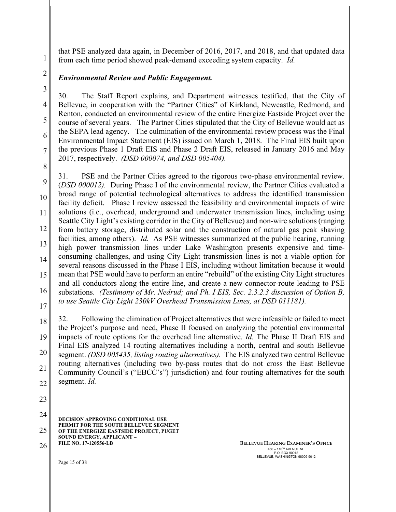that PSE analyzed data again, in December of 2016, 2017, and 2018, and that updated data from each time period showed peak-demand exceeding system capacity. *Id.*

# *Environmental Review and Public Engagement.*

30. The Staff Report explains, and Department witnesses testified, that the City of Bellevue, in cooperation with the "Partner Cities" of Kirkland, Newcastle, Redmond, and Renton, conducted an environmental review of the entire Energize Eastside Project over the course of several years. The Partner Cities stipulated that the City of Bellevue would act as the SEPA lead agency. The culmination of the environmental review process was the Final Environmental Impact Statement (EIS) issued on March 1, 2018. The Final EIS built upon the previous Phase 1 Draft EIS and Phase 2 Draft EIS, released in January 2016 and May 2017, respectively. *(DSD 000074, and DSD 005404).*

8

6

7

9 10 11 12 13 14 15 16 17 31. PSE and the Partner Cities agreed to the rigorous two-phase environmental review. (*DSD 000012).* During Phase I of the environmental review, the Partner Cities evaluated a broad range of potential technological alternatives to address the identified transmission facility deficit. Phase I review assessed the feasibility and environmental impacts of wire solutions (i.e., overhead, underground and underwater transmission lines, including using Seattle City Light's existing corridor in the City of Bellevue) and non-wire solutions (ranging from battery storage, distributed solar and the construction of natural gas peak shaving facilities, among others). *Id.* As PSE witnesses summarized at the public hearing, running high power transmission lines under Lake Washington presents expensive and timeconsuming challenges, and using City Light transmission lines is not a viable option for several reasons discussed in the Phase I EIS, including without limitation because it would mean that PSE would have to perform an entire "rebuild" of the existing City Light structures and all conductors along the entire line, and create a new connector-route leading to PSE substations. *(Testimony of Mr. Nedrud; and Ph. I EIS, Sec. 2.3.2.3 discussion of Option B, to use Seattle City Light 230kV Overhead Transmission Lines, at DSD 011181).*

18 19 20 21 22 32. Following the elimination of Project alternatives that were infeasible or failed to meet the Project's purpose and need, Phase II focused on analyzing the potential environmental impacts of route options for the overhead line alternative. *Id.* The Phase II Draft EIS and Final EIS analyzed 14 routing alternatives including a north, central and south Bellevue segment. *(DSD 005435, listing routing alternatives).* The EIS analyzed two central Bellevue routing alternatives (including two by-pass routes that do not cross the East Bellevue Community Council's ("EBCC's") jurisdiction) and four routing alternatives for the south segment. *Id.* 

23

**DECISION APPROVING CONDITIONAL USE PERMIT FOR THE SOUTH BELLEVUE SEGMENT OF THE ENERGIZE EASTSIDE PROJECT, PUGET SOUND ENERGY, APPLICANT – FILE NO. 17-120556-LB**  24 25 26 **BELLEVUE HEARING EXAMINER'S OFFICE** 

 $450 - 110^{7H}$  AVENUE NE P.O. BOX 90012 BELLEVUE, WASHINGTON 98009-9012

Page 15 of 38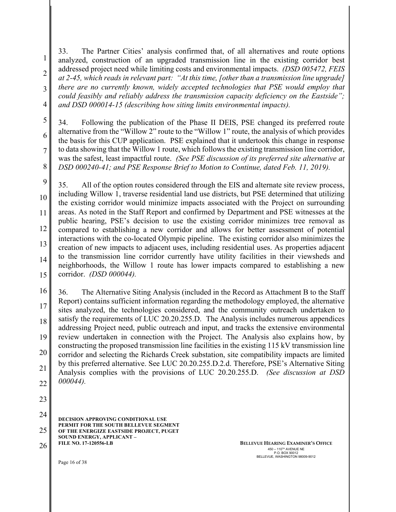3 4 33. The Partner Cities' analysis confirmed that, of all alternatives and route options analyzed, construction of an upgraded transmission line in the existing corridor best addressed project need while limiting costs and environmental impacts. *(DSD 005472, FEIS at 2-45, which reads in relevant part: "At this time, [other than a transmission line upgrade] there are no currently known, widely accepted technologies that PSE would employ that could feasibly and reliably address the transmission capacity deficiency on the Eastside"; and DSD 000014-15 (describing how siting limits environmental impacts).*

34. Following the publication of the Phase II DEIS, PSE changed its preferred route alternative from the "Willow 2" route to the "Willow 1" route, the analysis of which provides the basis for this CUP application. PSE explained that it undertook this change in response to data showing that the Willow 1 route, which follows the existing transmission line corridor, was the safest, least impactful route. *(See PSE discussion of its preferred site alternative at DSD 000240-41; and PSE Response Brief to Motion to Continue, dated Feb. 11, 2019).* 

9 10 11 12 13 14 15 35. All of the option routes considered through the EIS and alternate site review process, including Willow 1, traverse residential land use districts, but PSE determined that utilizing the existing corridor would minimize impacts associated with the Project on surrounding areas. As noted in the Staff Report and confirmed by Department and PSE witnesses at the public hearing, PSE's decision to use the existing corridor minimizes tree removal as compared to establishing a new corridor and allows for better assessment of potential interactions with the co-located Olympic pipeline. The existing corridor also minimizes the creation of new impacts to adjacent uses, including residential uses. As properties adjacent to the transmission line corridor currently have utility facilities in their viewsheds and neighborhoods, the Willow 1 route has lower impacts compared to establishing a new corridor. *(DSD 000044).*

16 17 18 19 20 21 22 36. The Alternative Siting Analysis (included in the Record as Attachment B to the Staff Report) contains sufficient information regarding the methodology employed, the alternative sites analyzed, the technologies considered, and the community outreach undertaken to satisfy the requirements of LUC 20.20.255.D. The Analysis includes numerous appendices addressing Project need, public outreach and input, and tracks the extensive environmental review undertaken in connection with the Project. The Analysis also explains how, by constructing the proposed transmission line facilities in the existing 115 kV transmission line corridor and selecting the Richards Creek substation, site compatibility impacts are limited by this preferred alternative. See LUC 20.20.255.D.2.d. Therefore, PSE's Alternative Siting Analysis complies with the provisions of LUC 20.20.255.D. *(See discussion at DSD 000044).*

23

1

2

5

6

7

8

**DECISION APPROVING CONDITIONAL USE PERMIT FOR THE SOUTH BELLEVUE SEGMENT OF THE ENERGIZE EASTSIDE PROJECT, PUGET SOUND ENERGY, APPLICANT – FILE NO. 17-120556-LB**  24 25

26 **BELLEVUE HEARING EXAMINER'S OFFICE**  $450 - 110^{7H}$  AVENUE NE P.O. BOX 90012 BELLEVUE, WASHINGTON 98009-9012

Page 16 of 38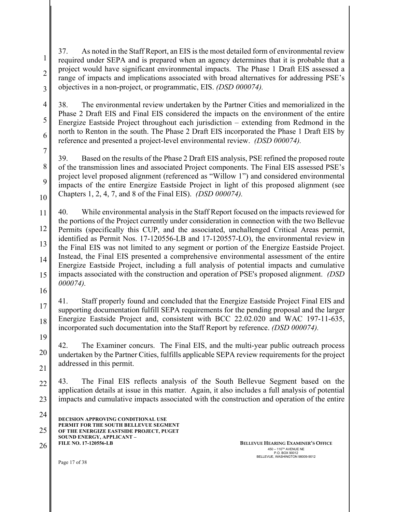37. As noted in the Staff Report, an EIS is the most detailed form of environmental review required under SEPA and is prepared when an agency determines that it is probable that a project would have significant environmental impacts. The Phase 1 Draft EIS assessed a range of impacts and implications associated with broad alternatives for addressing PSE's objectives in a non-project, or programmatic, EIS. *(DSD 000074).*

4 5 6 38. The environmental review undertaken by the Partner Cities and memorialized in the Phase 2 Draft EIS and Final EIS considered the impacts on the environment of the entire Energize Eastside Project throughout each jurisdiction – extending from Redmond in the north to Renton in the south. The Phase 2 Draft EIS incorporated the Phase 1 Draft EIS by reference and presented a project-level environmental review. *(DSD 000074).*

7

8

9

10

1

2

3

39. Based on the results of the Phase 2 Draft EIS analysis, PSE refined the proposed route of the transmission lines and associated Project components. The Final EIS assessed PSE's project level proposed alignment (referenced as "Willow 1") and considered environmental impacts of the entire Energize Eastside Project in light of this proposed alignment (see Chapters 1, 2, 4, 7, and 8 of the Final EIS). *(DSD 000074).*

11 12 13 14 15 40. While environmental analysis in the Staff Report focused on the impacts reviewed for the portions of the Project currently under consideration in connection with the two Bellevue Permits (specifically this CUP, and the associated, unchallenged Critical Areas permit, identified as Permit Nos. 17-120556-LB and 17-120557-LO), the environmental review in the Final EIS was not limited to any segment or portion of the Energize Eastside Project. Instead, the Final EIS presented a comprehensive environmental assessment of the entire Energize Eastside Project, including a full analysis of potential impacts and cumulative impacts associated with the construction and operation of PSE's proposed alignment. *(DSD 000074).*

16

17

18 41. Staff properly found and concluded that the Energize Eastside Project Final EIS and supporting documentation fulfill SEPA requirements for the pending proposal and the larger Energize Eastside Project and, consistent with BCC 22.02.020 and WAC 197-11-635, incorporated such documentation into the Staff Report by reference. *(DSD 000074).*

19

20 21 42. The Examiner concurs. The Final EIS, and the multi-year public outreach process undertaken by the Partner Cities, fulfills applicable SEPA review requirements for the project addressed in this permit.

22 23 43. The Final EIS reflects analysis of the South Bellevue Segment based on the application details at issue in this matter. Again, it also includes a full analysis of potential impacts and cumulative impacts associated with the construction and operation of the entire

**DECISION APPROVING CONDITIONAL USE PERMIT FOR THE SOUTH BELLEVUE SEGMENT OF THE ENERGIZE EASTSIDE PROJECT, PUGET SOUND ENERGY, APPLICANT – FILE NO. 17-120556-LB**  24 25 26 **BELLEVUE HEARING EXAMINER'S OFFICE** 

 $450 - 110^{7H}$  AVENUE NE P.O. BOX 90012 BELLEVUE, WASHINGTON 98009-9012

Page 17 of 38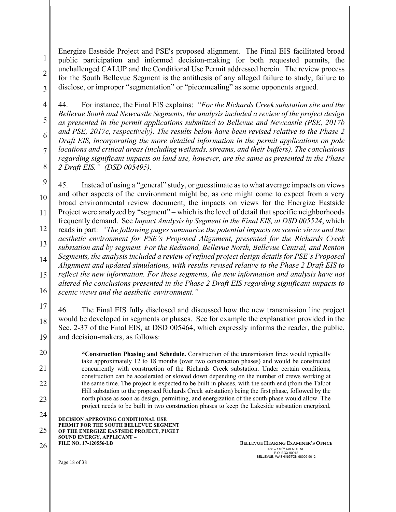3 Energize Eastside Project and PSE's proposed alignment. The Final EIS facilitated broad public participation and informed decision-making for both requested permits, the unchallenged CALUP and the Conditional Use Permit addressed herein. The review process for the South Bellevue Segment is the antithesis of any alleged failure to study, failure to disclose, or improper "segmentation" or "piecemealing" as some opponents argued.

4 5 6 7 8 44. For instance, the Final EIS explains: *"For the Richards Creek substation site and the Bellevue South and Newcastle Segments, the analysis included a review of the project design as presented in the permit applications submitted to Bellevue and Newcastle (PSE, 2017b and PSE, 2017c, respectively). The results below have been revised relative to the Phase 2 Draft EIS, incorporating the more detailed information in the permit applications on pole locations and critical areas (including wetlands, streams, and their buffers). The conclusions regarding significant impacts on land use, however, are the same as presented in the Phase 2 Draft EIS." (DSD 005495).*

9 10 11 12 13 14 15 16 45. Instead of using a "general" study, or guesstimate as to what average impacts on views and other aspects of the environment might be, as one might come to expect from a very broad environmental review document, the impacts on views for the Energize Eastside Project were analyzed by "segment" – which is the level of detail that specific neighborhoods frequently demand. See *Impact Analysis by Segment in the Final EIS, at DSD 005524*, which reads in part*: "The following pages summarize the potential impacts on scenic views and the aesthetic environment for PSE's Proposed Alignment, presented for the Richards Creek substation and by segment. For the Redmond, Bellevue North, Bellevue Central, and Renton Segments, the analysis included a review of refined project design details for PSE's Proposed Alignment and updated simulations, with results revised relative to the Phase 2 Draft EIS to reflect the new information. For these segments, the new information and analysis have not altered the conclusions presented in the Phase 2 Draft EIS regarding significant impacts to scenic views and the aesthetic environment."*

17 18 19 46. The Final EIS fully disclosed and discussed how the new transmission line project would be developed in segments or phases. See for example the explanation provided in the Sec. 2-37 of the Final EIS, at DSD 005464, which expressly informs the reader, the public, and decision-makers, as follows:

20 21 22 23 **"Construction Phasing and Schedule.** Construction of the transmission lines would typically take approximately 12 to 18 months (over two construction phases) and would be constructed concurrently with construction of the Richards Creek substation. Under certain conditions, construction can be accelerated or slowed down depending on the number of crews working at the same time. The project is expected to be built in phases, with the south end (from the Talbot Hill substation to the proposed Richards Creek substation) being the first phase, followed by the north phase as soon as design, permitting, and energization of the south phase would allow. The project needs to be built in two construction phases to keep the Lakeside substation energized,

**DECISION APPROVING CONDITIONAL USE**  24

**PERMIT FOR THE SOUTH BELLEVUE SEGMENT**  25

**OF THE ENERGIZE EASTSIDE PROJECT, PUGET SOUND ENERGY, APPLICANT –**

**FILE NO. 17-120556-LB** 

26 **BELLEVUE HEARING EXAMINER'S OFFICE**  $450 - 110^{7H}$  AVENUE NE P.O. BOX 90012 BELLEVUE, WASHINGTON 98009-9012

Page 18 of 38

1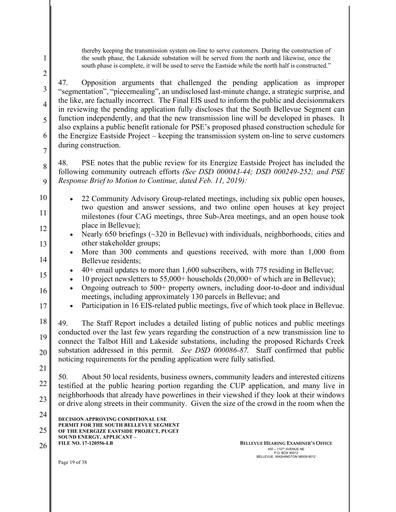1 2

3

4

5

6

7

8

9

13

14

15

16

17

thereby keeping the transmission system on-line to serve customers. During the construction of the south phase, the Lakeside substation will be served from the north and likewise, once the south phase is complete, it will be used to serve the Eastside while the north half is constructed."

47. Opposition arguments that challenged the pending application as improper "segmentation", "piecemealing", an undisclosed last-minute change, a strategic surprise, and the like, are factually incorrect. The Final EIS used to inform the public and decisionmakers in reviewing the pending application fully discloses that the South Bellevue Segment can function independently, and that the new transmission line will be developed in phases. It also explains a public benefit rationale for PSE's proposed phased construction schedule for the Energize Eastside Project – keeping the transmission system on-line to serve customers during construction.

48. PSE notes that the public review for its Energize Eastside Project has included the following community outreach efforts *(See DSD 000043-44; DSD 000249-252; and PSE Response Brief to Motion to Continue, dated Feb. 11, 2019):*

- 10 11 12 • 22 Community Advisory Group-related meetings, including six public open houses, two question and answer sessions, and two online open houses at key project milestones (four CAG meetings, three Sub-Area meetings, and an open house took place in Bellevue);
	- Nearly 650 briefings  $(\sim]320$  in Bellevue) with individuals, neighborhoods, cities and other stakeholder groups;
	- More than 300 comments and questions received, with more than 1,000 from Bellevue residents;
		- $\bullet$  40+ email updates to more than 1,600 subscribers, with 775 residing in Bellevue;
	- 10 project newsletters to 55,000+ households (20,000+ of which are in Bellevue);
	- Ongoing outreach to 500+ property owners, including door-to-door and individual meetings, including approximately 130 parcels in Bellevue; and
	- Participation in 16 EIS-related public meetings, five of which took place in Bellevue.

18 19 20 49. The Staff Report includes a detailed listing of public notices and public meetings conducted over the last few years regarding the construction of a new transmission line to connect the Talbot Hill and Lakeside substations, including the proposed Richards Creek substation addressed in this permit. *See DSD 000086-87.* Staff confirmed that public noticing requirements for the pending application were fully satisfied.

21

22 23 50. About 50 local residents, business owners, community leaders and interested citizens testified at the public hearing portion regarding the CUP application, and many live in neighborhoods that already have powerlines in their viewshed if they look at their windows or drive along streets in their community. Given the size of the crowd in the room when the

**DECISION APPROVING CONDITIONAL USE PERMIT FOR THE SOUTH BELLEVUE SEGMENT OF THE ENERGIZE EASTSIDE PROJECT, PUGET SOUND ENERGY, APPLICANT – FILE NO. 17-120556-LB**  24 25

26 **BELLEVUE HEARING EXAMINER'S OFFICE**  $450 - 110^{7H}$  AVENUE NE P.O. BOX 90012 BELLEVUE, WASHINGTON 98009-9012

Page 19 of 38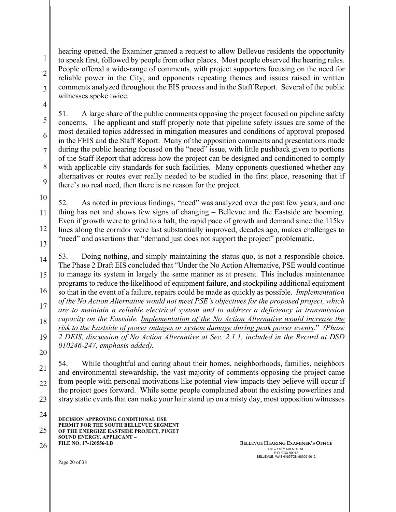1 2 3 hearing opened, the Examiner granted a request to allow Bellevue residents the opportunity to speak first, followed by people from other places. Most people observed the hearing rules. People offered a wide-range of comments, with project supporters focusing on the need for reliable power in the City, and opponents repeating themes and issues raised in written comments analyzed throughout the EIS process and in the Staff Report. Several of the public witnesses spoke twice.

51. A large share of the public comments opposing the project focused on pipeline safety concerns. The applicant and staff properly note that pipeline safety issues are some of the most detailed topics addressed in mitigation measures and conditions of approval proposed in the FEIS and the Staff Report. Many of the opposition comments and presentations made during the public hearing focused on the "need" issue, with little pushback given to portions of the Staff Report that address how the project can be designed and conditioned to comply with applicable city standards for such facilities. Many opponents questioned whether any alternatives or routes ever really needed to be studied in the first place, reasoning that if there's no real need, then there is no reason for the project.

10 11 12 13 52. As noted in previous findings, "need" was analyzed over the past few years, and one thing has not and shows few signs of changing – Bellevue and the Eastside are booming. Even if growth were to grind to a halt, the rapid pace of growth and demand since the 115kv lines along the corridor were last substantially improved, decades ago, makes challenges to "need" and assertions that "demand just does not support the project" problematic.

14 15 16 17 18 19 53. Doing nothing, and simply maintaining the status quo, is not a responsible choice. The Phase 2 Draft EIS concluded that "Under the No Action Alternative, PSE would continue to manage its system in largely the same manner as at present. This includes maintenance programs to reduce the likelihood of equipment failure, and stockpiling additional equipment so that in the event of a failure, repairs could be made as quickly as possible. *Implementation of the No Action Alternative would not meet PSE's objectives for the proposed project, which are to maintain a reliable electrical system and to address a deficiency in transmission capacity on the Eastside. Implementation of the No Action Alternative would increase the risk to the Eastside of power outages or system damage during peak power events*." *(Phase 2 DEIS, discussion of No Action Alternative at Sec. 2.1.1, included in the Record at DSD 010246-247, emphasis added).* 

20

21

4

5

6

7

8

9

22 23 54. While thoughtful and caring about their homes, neighborhoods, families, neighbors and environmental stewardship, the vast majority of comments opposing the project came from people with personal motivations like potential view impacts they believe will occur if the project goes forward. While some people complained about the existing powerlines and stray static events that can make your hair stand up on a misty day, most opposition witnesses

**DECISION APPROVING CONDITIONAL USE PERMIT FOR THE SOUTH BELLEVUE SEGMENT OF THE ENERGIZE EASTSIDE PROJECT, PUGET SOUND ENERGY, APPLICANT – FILE NO. 17-120556-LB**  24 25 26 **BELLEVUE HEARING EXAMINER'S OFFICE** 

 $450 - 110^{7H}$  AVENUE NE P.O. BOX 90012 BELLEVUE, WASHINGTON 98009-9012

Page 20 of 38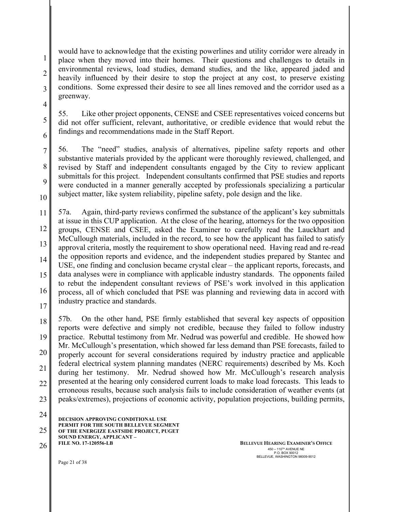would have to acknowledge that the existing powerlines and utility corridor were already in place when they moved into their homes. Their questions and challenges to details in environmental reviews, load studies, demand studies, and the like, appeared jaded and heavily influenced by their desire to stop the project at any cost, to preserve existing conditions. Some expressed their desire to see all lines removed and the corridor used as a greenway.

55. Like other project opponents, CENSE and CSEE representatives voiced concerns but did not offer sufficient, relevant, authoritative, or credible evidence that would rebut the findings and recommendations made in the Staff Report.

7 8 9 10 56. The "need" studies, analysis of alternatives, pipeline safety reports and other substantive materials provided by the applicant were thoroughly reviewed, challenged, and revised by Staff and independent consultants engaged by the City to review applicant submittals for this project. Independent consultants confirmed that PSE studies and reports were conducted in a manner generally accepted by professionals specializing a particular subject matter, like system reliability, pipeline safety, pole design and the like.

11 12 13 14 15 16 17 57a. Again, third-party reviews confirmed the substance of the applicant's key submittals at issue in this CUP application. At the close of the hearing, attorneys for the two opposition groups, CENSE and CSEE, asked the Examiner to carefully read the Lauckhart and McCullough materials, included in the record, to see how the applicant has failed to satisfy approval criteria, mostly the requirement to show operational need. Having read and re-read the opposition reports and evidence, and the independent studies prepared by Stantec and USE, one finding and conclusion became crystal clear – the applicant reports, forecasts, and data analyses were in compliance with applicable industry standards. The opponents failed to rebut the independent consultant reviews of PSE's work involved in this application process, all of which concluded that PSE was planning and reviewing data in accord with industry practice and standards.

18 19 20 21 22 23 57b. On the other hand, PSE firmly established that several key aspects of opposition reports were defective and simply not credible, because they failed to follow industry practice. Rebuttal testimony from Mr. Nedrud was powerful and credible. He showed how Mr. McCullough's presentation, which showed far less demand than PSE forecasts, failed to properly account for several considerations required by industry practice and applicable federal electrical system planning mandates (NERC requirements) described by Ms. Koch during her testimony. Mr. Nedrud showed how Mr. McCullough's research analysis presented at the hearing only considered current loads to make load forecasts. This leads to erroneous results, because such analysis fails to include consideration of weather events (at peaks/extremes), projections of economic activity, population projections, building permits,

**DECISION APPROVING CONDITIONAL USE PERMIT FOR THE SOUTH BELLEVUE SEGMENT OF THE ENERGIZE EASTSIDE PROJECT, PUGET SOUND ENERGY, APPLICANT – FILE NO. 17-120556-LB**  24 25

26 **BELLEVUE HEARING EXAMINER'S OFFICE**  $450 - 110^{7H}$  AVENUE NE P.O. BOX 90012 BELLEVUE, WASHINGTON 98009-9012

Page 21 of 38

1

2

3

4

5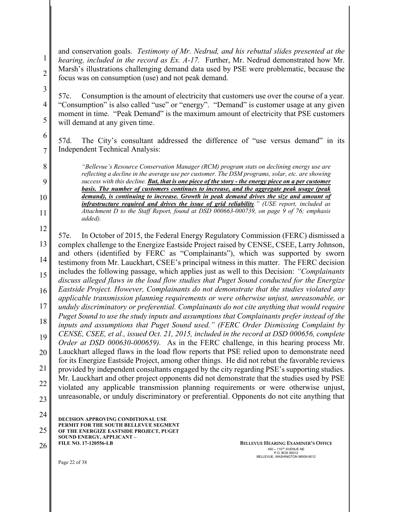and conservation goals. *Testimony of Mr. Nedrud, and his rebuttal slides presented at the hearing, included in the record as Ex. A-17.* Further, Mr. Nedrud demonstrated how Mr. Marsh's illustrations challenging demand data used by PSE were problematic, because the focus was on consumption (use) and not peak demand.

57c. Consumption is the amount of electricity that customers use over the course of a year. "Consumption" is also called "use" or "energy". "Demand" is customer usage at any given moment in time. "Peak Demand" is the maximum amount of electricity that PSE customers will demand at any given time.

57d. The City's consultant addressed the difference of "use versus demand" in its Independent Technical Analysis:

*"Bellevue's Resource Conservation Manager (RCM) program stats on declining energy use are reflecting a decline in the average use per customer. The DSM programs, solar, etc. are showing success with this decline. But, that is one piece of the story - the energy piece on a per customer basis. The number of customers continues to increase, and the aggregate peak usage (peak demand), is continuing to increase. Growth in peak demand drives the size and amount of infrastructure required and drives the issue of grid reliability." (USE report, included as Attachment D to the Staff Report, found at DSD 000663-000739, on page 9 of 76; emphasis added).*

12 13 14 15 16 17 18 19 20 21 22 23 57e. In October of 2015, the Federal Energy Regulatory Commission (FERC) dismissed a complex challenge to the Energize Eastside Project raised by CENSE, CSEE, Larry Johnson, and others (identified by FERC as "Complainants"), which was supported by sworn testimony from Mr. Lauckhart, CSEE's principal witness in this matter. The FERC decision includes the following passage, which applies just as well to this Decision: *"Complainants discuss alleged flaws in the load flow studies that Puget Sound conducted for the Energize Eastside Project. However, Complainants do not demonstrate that the studies violated any applicable transmission planning requirements or were otherwise unjust, unreasonable, or unduly discriminatory or preferential. Complainants do not cite anything that would require Puget Sound to use the study inputs and assumptions that Complainants prefer instead of the inputs and assumptions that Puget Sound used." (FERC Order Dismissing Complaint by CENSE, CSEE, et al., issued Oct. 21, 2015, included in the record at DSD 000656, complete Order at DSD 000630-000659).* As in the FERC challenge, in this hearing process Mr. Lauckhart alleged flaws in the load flow reports that PSE relied upon to demonstrate need for its Energize Eastside Project, among other things. He did not rebut the favorable reviews provided by independent consultants engaged by the city regarding PSE's supporting studies. Mr. Lauckhart and other project opponents did not demonstrate that the studies used by PSE violated any applicable transmission planning requirements or were otherwise unjust, unreasonable, or unduly discriminatory or preferential. Opponents do not cite anything that

**DECISION APPROVING CONDITIONAL USE PERMIT FOR THE SOUTH BELLEVUE SEGMENT OF THE ENERGIZE EASTSIDE PROJECT, PUGET SOUND ENERGY, APPLICANT – FILE NO. 17-120556-LB**  24 25 26 **BELLEVUE HEARING EXAMINER'S OFFICE** 

 $450 - 110^{7H}$  AVENUE NE P.O. BOX 90012 BELLEVUE, WASHINGTON 98009-9012

Page 22 of 38

1

2

3

4

5

6

7

8

9

10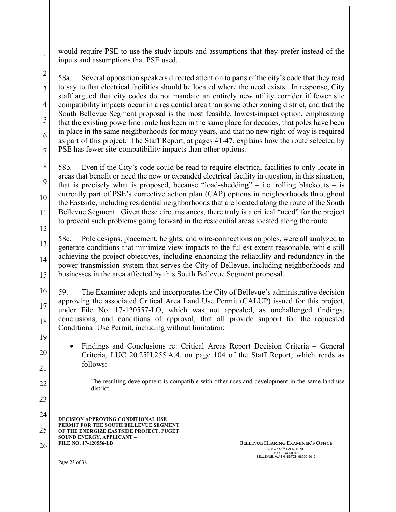would require PSE to use the study inputs and assumptions that they prefer instead of the inputs and assumptions that PSE used.

2 3 4 5 6 7 58a. Several opposition speakers directed attention to parts of the city's code that they read to say to that electrical facilities should be located where the need exists. In response, City staff argued that city codes do not mandate an entirely new utility corridor if fewer site compatibility impacts occur in a residential area than some other zoning district, and that the South Bellevue Segment proposal is the most feasible, lowest-impact option, emphasizing that the existing powerline route has been in the same place for decades, that poles have been in place in the same neighborhoods for many years, and that no new right-of-way is required as part of this project. The Staff Report, at pages 41-47, explains how the route selected by PSE has fewer site-compatibility impacts than other options.

8 9 10 11 58b. Even if the City's code could be read to require electrical facilities to only locate in areas that benefit or need the new or expanded electrical facility in question, in this situation, that is precisely what is proposed, because "load-shedding" – i.e. rolling blackouts – is currently part of PSE's corrective action plan (CAP) options in neighborhoods throughout the Eastside, including residential neighborhoods that are located along the route of the South Bellevue Segment. Given these circumstances, there truly is a critical "need" for the project to prevent such problems going forward in the residential areas located along the route.

12 13 14 15 58c. Pole designs, placement, heights, and wire-connections on poles, were all analyzed to generate conditions that minimize view impacts to the fullest extent reasonable, while still achieving the project objectives, including enhancing the reliability and redundancy in the power-transmission system that serves the City of Bellevue, including neighborhoods and businesses in the area affected by this South Bellevue Segment proposal.

16 17 18 59. The Examiner adopts and incorporates the City of Bellevue's administrative decision approving the associated Critical Area Land Use Permit (CALUP) issued for this project, under File No. 17-120557-LO, which was not appealed, as unchallenged findings, conclusions, and conditions of approval, that all provide support for the requested Conditional Use Permit, including without limitation:

• Findings and Conclusions re: Critical Areas Report Decision Criteria – General Criteria, LUC 20.25H.255.A.4, on page 104 of the Staff Report, which reads as follows:

The resulting development is compatible with other uses and development in the same land use district.

**DECISION APPROVING CONDITIONAL USE PERMIT FOR THE SOUTH BELLEVUE SEGMENT OF THE ENERGIZE EASTSIDE PROJECT, PUGET SOUND ENERGY, APPLICANT – FILE NO. 17-120556-LB**  24 25

26 **BELLEVUE HEARING EXAMINER'S OFFICE**  $450 - 110^{7H}$  AVENUE NE P.O. BOX 90012 BELLEVUE, WASHINGTON 98009-9012

Page 23 of 38

19

20

21

22

23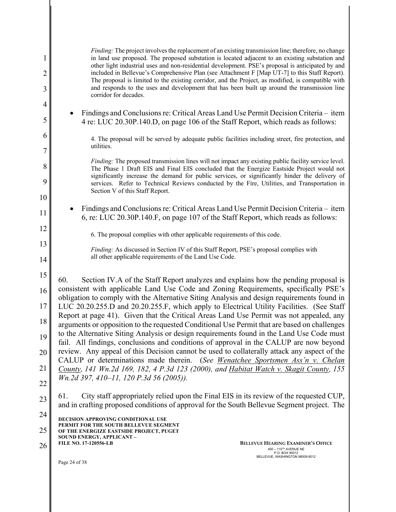| 1<br>$\overline{c}$ | <i>Finding:</i> The project involves the replacement of an existing transmission line; therefore, no change<br>in land use proposed. The proposed substation is located adjacent to an existing substation and<br>other light industrial uses and non-residential development. PSE's proposal is anticipated by and<br>included in Bellevue's Comprehensive Plan (see Attachment F [Map UT-7] to this Staff Report).<br>The proposal is limited to the existing corridor, and the Project, as modified, is compatible with |
|---------------------|----------------------------------------------------------------------------------------------------------------------------------------------------------------------------------------------------------------------------------------------------------------------------------------------------------------------------------------------------------------------------------------------------------------------------------------------------------------------------------------------------------------------------|
| 3                   | and responds to the uses and development that has been built up around the transmission line<br>corridor for decades.                                                                                                                                                                                                                                                                                                                                                                                                      |
| 4<br>5              | Findings and Conclusions re: Critical Areas Land Use Permit Decision Criteria - item<br>4 re: LUC 20.30P.140.D, on page 106 of the Staff Report, which reads as follows:                                                                                                                                                                                                                                                                                                                                                   |
| 6                   | 4. The proposal will be served by adequate public facilities including street, fire protection, and                                                                                                                                                                                                                                                                                                                                                                                                                        |
| $\overline{7}$      | utilities.                                                                                                                                                                                                                                                                                                                                                                                                                                                                                                                 |
| 8                   | Finding: The proposed transmission lines will not impact any existing public facility service level.<br>The Phase 1 Draft EIS and Final EIS concluded that the Energize Eastside Project would not<br>significantly increase the demand for public services, or significantly hinder the delivery of                                                                                                                                                                                                                       |
| 9<br>10             | services. Refer to Technical Reviews conducted by the Fire, Utilities, and Transportation in<br>Section V of this Staff Report.                                                                                                                                                                                                                                                                                                                                                                                            |
| 11                  | Findings and Conclusions re: Critical Areas Land Use Permit Decision Criteria – item<br>6, re: LUC 20.30P.140.F, on page 107 of the Staff Report, which reads as follows:                                                                                                                                                                                                                                                                                                                                                  |
| 12                  | 6. The proposal complies with other applicable requirements of this code.                                                                                                                                                                                                                                                                                                                                                                                                                                                  |
| 13                  | Finding: As discussed in Section IV of this Staff Report, PSE's proposal complies with                                                                                                                                                                                                                                                                                                                                                                                                                                     |
| 14                  | all other applicable requirements of the Land Use Code.                                                                                                                                                                                                                                                                                                                                                                                                                                                                    |
| 15                  | Section IV.A of the Staff Report analyzes and explains how the pending proposal is<br>60.                                                                                                                                                                                                                                                                                                                                                                                                                                  |
| 16                  | consistent with applicable Land Use Code and Zoning Requirements, specifically PSE's<br>obligation to comply with the Alternative Siting Analysis and design requirements found in                                                                                                                                                                                                                                                                                                                                         |
| 17                  | LUC 20.20.255.D and 20.20.255.F, which apply to Electrical Utility Facilities. (See Staff<br>Report at page 41). Given that the Critical Areas Land Use Permit was not appealed, any                                                                                                                                                                                                                                                                                                                                       |
| 18                  | arguments or opposition to the requested Conditional Use Permit that are based on challenges<br>to the Alternative Siting Analysis or design requirements found in the Land Use Code must                                                                                                                                                                                                                                                                                                                                  |
| 19                  | fail. All findings, conclusions and conditions of approval in the CALUP are now beyond<br>review. Any appeal of this Decision cannot be used to collaterally attack any aspect of the                                                                                                                                                                                                                                                                                                                                      |
| 20                  | CALUP or determinations made therein. (See Wenatchee Sportsmen Ass'n v. Chelan                                                                                                                                                                                                                                                                                                                                                                                                                                             |
| 21                  | County, 141 Wn.2d 169, 182, 4 P.3d 123 (2000), and Habitat Watch v. Skagit County, 155<br>Wn.2d 397, 410–11, 120 P.3d 56 (2005)).                                                                                                                                                                                                                                                                                                                                                                                          |
| 22<br>23            | City staff appropriately relied upon the Final EIS in its review of the requested CUP,<br>61.                                                                                                                                                                                                                                                                                                                                                                                                                              |
| 24                  | and in crafting proposed conditions of approval for the South Bellevue Segment project. The                                                                                                                                                                                                                                                                                                                                                                                                                                |
| 25                  | <b>DECISION APPROVING CONDITIONAL USE</b><br>PERMIT FOR THE SOUTH BELLEVUE SEGMENT                                                                                                                                                                                                                                                                                                                                                                                                                                         |
| 26                  | OF THE ENERGIZE EASTSIDE PROJECT, PUGET<br>SOUND ENERGY, APPLICANT –<br><b>FILE NO. 17-120556-LB</b><br><b>BELLEVUE HEARING EXAMINER'S OFFICE</b>                                                                                                                                                                                                                                                                                                                                                                          |
|                     | 450 - 110 <sup>TH</sup> AVENUE NE<br>P.O. BOX 90012<br>BELLEVUE, WASHINGTON 98009-9012<br>Page 24 of 38                                                                                                                                                                                                                                                                                                                                                                                                                    |
|                     |                                                                                                                                                                                                                                                                                                                                                                                                                                                                                                                            |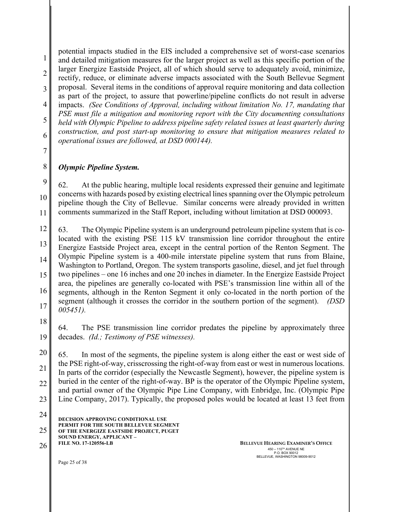1 2 3 4 5 potential impacts studied in the EIS included a comprehensive set of worst-case scenarios and detailed mitigation measures for the larger project as well as this specific portion of the larger Energize Eastside Project, all of which should serve to adequately avoid, minimize, rectify, reduce, or eliminate adverse impacts associated with the South Bellevue Segment proposal. Several items in the conditions of approval require monitoring and data collection as part of the project, to assure that powerline/pipeline conflicts do not result in adverse impacts. *(See Conditions of Approval, including without limitation No. 17, mandating that PSE must file a mitigation and monitoring report with the City documenting consultations held with Olympic Pipeline to address pipeline safety related issues at least quarterly during* 

6 *construction, and post start-up monitoring to ensure that mitigation measures related to operational issues are followed, at DSD 000144).*

7

8

9

10

11

## *Olympic Pipeline System.*

62. At the public hearing, multiple local residents expressed their genuine and legitimate concerns with hazards posed by existing electrical lines spanning over the Olympic petroleum pipeline though the City of Bellevue. Similar concerns were already provided in written comments summarized in the Staff Report, including without limitation at DSD 000093.

12 13 14 15 16 17 63. The Olympic Pipeline system is an underground petroleum pipeline system that is colocated with the existing PSE 115 kV transmission line corridor throughout the entire Energize Eastside Project area, except in the central portion of the Renton Segment. The Olympic Pipeline system is a 400-mile interstate pipeline system that runs from Blaine, Washington to Portland, Oregon. The system transports gasoline, diesel, and jet fuel through two pipelines – one 16 inches and one 20 inches in diameter. In the Energize Eastside Project area, the pipelines are generally co-located with PSE's transmission line within all of the segments, although in the Renton Segment it only co-located in the north portion of the segment (although it crosses the corridor in the southern portion of the segment). *(DSD 005451).*

18 19 64. The PSE transmission line corridor predates the pipeline by approximately three decades. *(Id.; Testimony of PSE witnesses).* 

20 21 22 23 65. In most of the segments, the pipeline system is along either the east or west side of the PSE right-of-way, crisscrossing the right-of-way from east or west in numerous locations. In parts of the corridor (especially the Newcastle Segment), however, the pipeline system is buried in the center of the right-of-way. BP is the operator of the Olympic Pipeline system, and partial owner of the Olympic Pipe Line Company, with Enbridge, Inc. (Olympic Pipe Line Company, 2017). Typically, the proposed poles would be located at least 13 feet from

**DECISION APPROVING CONDITIONAL USE PERMIT FOR THE SOUTH BELLEVUE SEGMENT OF THE ENERGIZE EASTSIDE PROJECT, PUGET SOUND ENERGY, APPLICANT – FILE NO. 17-120556-LB**  24 25

26 **BELLEVUE HEARING EXAMINER'S OFFICE**  $450 - 110^{7H}$  AVENUE NE P.O. BOX 90012 BELLEVUE, WASHINGTON 98009-9012

Page 25 of 38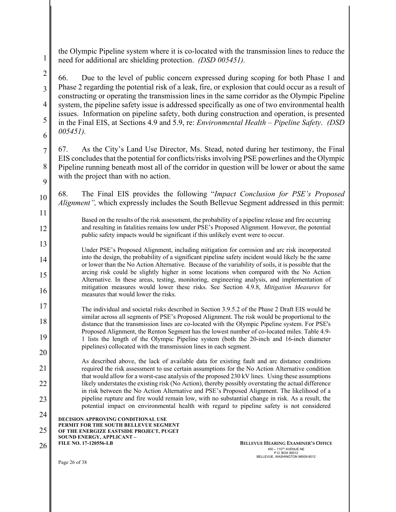the Olympic Pipeline system where it is co-located with the transmission lines to reduce the need for additional arc shielding protection. *(DSD 005451).*

3 4 6 66. Due to the level of public concern expressed during scoping for both Phase 1 and Phase 2 regarding the potential risk of a leak, fire, or explosion that could occur as a result of constructing or operating the transmission lines in the same corridor as the Olympic Pipeline system, the pipeline safety issue is addressed specifically as one of two environmental health issues. Information on pipeline safety, both during construction and operation, is presented in the Final EIS, at Sections 4.9 and 5.9, re: *Environmental Health – Pipeline Safety*. *(DSD 005451).*

7 8 9 67. As the City's Land Use Director, Ms. Stead, noted during her testimony, the Final EIS concludes that the potential for conflicts/risks involving PSE powerlines and the Olympic Pipeline running beneath most all of the corridor in question will be lower or about the same with the project than with no action.

68. The Final EIS provides the following "*Impact Conclusion for PSE's Proposed Alignment"*, which expressly includes the South Bellevue Segment addressed in this permit:

Based on the results of the risk assessment, the probability of a pipeline release and fire occurring and resulting in fatalities remains low under PSE's Proposed Alignment. However, the potential public safety impacts would be significant if this unlikely event were to occur.

Under PSE's Proposed Alignment, including mitigation for corrosion and arc risk incorporated into the design, the probability of a significant pipeline safety incident would likely be the same or lower than the No Action Alternative. Because of the variability of soils, it is possible that the arcing risk could be slightly higher in some locations when compared with the No Action Alternative. In these areas, testing, monitoring, engineering analysis, and implementation of mitigation measures would lower these risks. See Section 4.9.8, *Mitigation Measures* for measures that would lower the risks.

17 18 19 20 The individual and societal risks described in Section 3.9.5.2 of the Phase 2 Draft EIS would be similar across all segments of PSE's Proposed Alignment. The risk would be proportional to the distance that the transmission lines are co-located with the Olympic Pipeline system. For PSE's Proposed Alignment, the Renton Segment has the lowest number of co-located miles. Table 4.9- 1 lists the length of the Olympic Pipeline system (both the 20-inch and 16-inch diameter pipelines) collocated with the transmission lines in each segment.

21 22 23 As described above, the lack of available data for existing fault and arc distance conditions required the risk assessment to use certain assumptions for the No Action Alternative condition that would allow for a worst-case analysis of the proposed 230 kV lines. Using these assumptions likely understates the existing risk (No Action), thereby possibly overstating the actual difference in risk between the No Action Alternative and PSE's Proposed Alignment. The likelihood of a pipeline rupture and fire would remain low, with no substantial change in risk. As a result, the potential impact on environmental health with regard to pipeline safety is not considered

**DECISION APPROVING CONDITIONAL USE**  24

**PERMIT FOR THE SOUTH BELLEVUE SEGMENT**  25

**OF THE ENERGIZE EASTSIDE PROJECT, PUGET SOUND ENERGY, APPLICANT –**

**FILE NO. 17-120556-LB** 

1

2

5

10

11

12

13

14

15

16

26 **BELLEVUE HEARING EXAMINER'S OFFICE**  $450 - 110^{Th}$  AVENUE NE P.O. BOX 90012 BELLEVUE, WASHINGTON 98009-9012

Page 26 of 38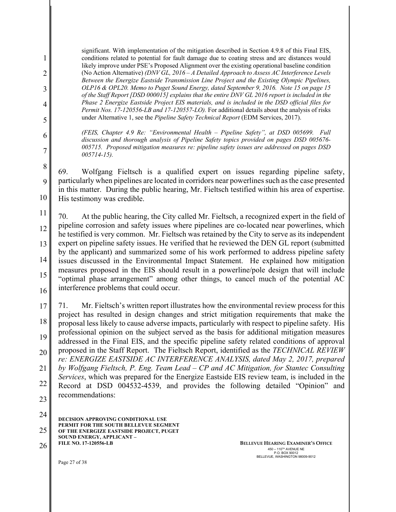significant. With implementation of the mitigation described in Section 4.9.8 of this Final EIS, conditions related to potential for fault damage due to coating stress and arc distances would likely improve under PSE's Proposed Alignment over the existing operational baseline condition (No Action Alternative) *(DNV GL, 2016 – A Detailed Approach to Assess AC Interference Levels Between the Energize Eastside Transmission Line Project and the Existing Olympic Pipelines, OLP16 & OPL20. Memo to Puget Sound Energy, dated September 9, 2016. Note 15 on page 15 of the Staff Report [DSD 000015] explains that the entire DNV GL 2016 report is included in the Phase 2 Energize Eastside Project EIS materials, and is included in the DSD official files for Permit Nos. 17-120556-LB and 17-120557-LO).* For additional details about the analysis of risks under Alternative 1, see the *Pipeline Safety Technical Report* (EDM Services, 2017).

*(FEIS, Chapter 4.9 Re: "Environmental Health – Pipeline Safety", at DSD 005699. Full discussion and thorough analysis of Pipeline Safety topics provided on pages DSD 005676- 005715. Proposed mitigation measures re: pipeline safety issues are addressed on pages DSD 005714-15).*

8 10 69. Wolfgang Fieltsch is a qualified expert on issues regarding pipeline safety, particularly when pipelines are located in corridors near powerlines such as the case presented in this matter. During the public hearing, Mr. Fieltsch testified within his area of expertise. His testimony was credible.

11 12 13 14 15 16 70. At the public hearing, the City called Mr. Fieltsch, a recognized expert in the field of pipeline corrosion and safety issues where pipelines are co-located near powerlines, which he testified is very common. Mr. Fieltsch was retained by the City to serve as its independent expert on pipeline safety issues. He verified that he reviewed the DEN GL report (submitted by the applicant) and summarized some of his work performed to address pipeline safety issues discussed in the Environmental Impact Statement. He explained how mitigation measures proposed in the EIS should result in a powerline/pole design that will include "optimal phase arrangement" among other things, to cancel much of the potential AC interference problems that could occur.

17 18 19 20 21 22 23 71. Mr. Fieltsch's written report illustrates how the environmental review process for this project has resulted in design changes and strict mitigation requirements that make the proposal less likely to cause adverse impacts, particularly with respect to pipeline safety. His professional opinion on the subject served as the basis for additional mitigation measures addressed in the Final EIS, and the specific pipeline safety related conditions of approval proposed in the Staff Report. The Fieltsch Report, identified as the *TECHNICAL REVIEW re: ENERGIZE EASTSIDE AC INTERFERENCE ANALYSIS, dated May 2, 2017, prepared by Wolfgang Fieltsch, P. Eng. Team Lead – CP and AC Mitigation, for Stantec Consulting Services*, which was prepared for the Energize Eastside EIS review team, is included in the Record at DSD 004532-4539, and provides the following detailed "Opinion" and recommendations:

1

2

3

4

5

6

7

9

**DECISION APPROVING CONDITIONAL USE PERMIT FOR THE SOUTH BELLEVUE SEGMENT OF THE ENERGIZE EASTSIDE PROJECT, PUGET SOUND ENERGY, APPLICANT – FILE NO. 17-120556-LB**  24 25 26 **BELLEVUE HEARING EXAMINER'S OFFICE** 

 $450 - 110^{Th}$  AVENUE NE P.O. BOX 90012 BELLEVUE, WASHINGTON 98009-9012

Page 27 of 38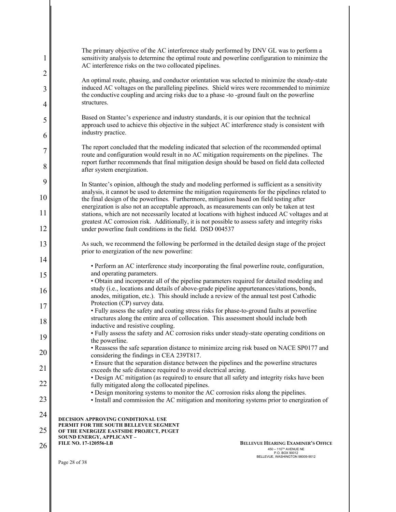| $\mathbf{1}$   | The primary objective of the AC interference study performed by DNV GL was to perform a<br>sensitivity analysis to determine the optimal route and powerline configuration to minimize the<br>AC interference risks on the two collocated pipelines.                                        |
|----------------|---------------------------------------------------------------------------------------------------------------------------------------------------------------------------------------------------------------------------------------------------------------------------------------------|
| $\overline{2}$ |                                                                                                                                                                                                                                                                                             |
| 3              | An optimal route, phasing, and conductor orientation was selected to minimize the steady-state<br>induced AC voltages on the paralleling pipelines. Shield wires were recommended to minimize<br>the conductive coupling and arcing risks due to a phase -to -ground fault on the powerline |
| $\overline{4}$ | structures.                                                                                                                                                                                                                                                                                 |
| 5<br>6         | Based on Stantec's experience and industry standards, it is our opinion that the technical<br>approach used to achieve this objective in the subject AC interference study is consistent with<br>industry practice.                                                                         |
|                | The report concluded that the modeling indicated that selection of the recommended optimal                                                                                                                                                                                                  |
| $\overline{7}$ | route and configuration would result in no AC mitigation requirements on the pipelines. The                                                                                                                                                                                                 |
| 8              | report further recommends that final mitigation design should be based on field data collected<br>after system energization.                                                                                                                                                                |
| 9              | In Stantec's opinion, although the study and modeling performed is sufficient as a sensitivity                                                                                                                                                                                              |
| 10             | analysis, it cannot be used to determine the mitigation requirements for the pipelines related to<br>the final design of the powerlines. Furthermore, mitigation based on field testing after                                                                                               |
| 11             | energization is also not an acceptable approach, as measurements can only be taken at test<br>stations, which are not necessarily located at locations with highest induced AC voltages and at                                                                                              |
| 12             | greatest AC corrosion risk. Additionally, it is not possible to assess safety and integrity risks<br>under powerline fault conditions in the field. DSD 004537                                                                                                                              |
| 13             | As such, we recommend the following be performed in the detailed design stage of the project<br>prior to energization of the new powerline:                                                                                                                                                 |
| 14             | • Perform an AC interference study incorporating the final powerline route, configuration,                                                                                                                                                                                                  |
| 15             | and operating parameters.                                                                                                                                                                                                                                                                   |
|                | • Obtain and incorporate all of the pipeline parameters required for detailed modeling and                                                                                                                                                                                                  |
| 16             | study (i.e., locations and details of above-grade pipeline appurtenances/stations, bonds,<br>anodes, mitigation, etc.). This should include a review of the annual test post Cathodic                                                                                                       |
| 17             | Protection (CP) survey data.                                                                                                                                                                                                                                                                |
|                | • Fully assess the safety and coating stress risks for phase-to-ground faults at powerline<br>structures along the entire area of collocation. This assessment should include both                                                                                                          |
| 18             | inductive and resistive coupling.                                                                                                                                                                                                                                                           |
| 19             | • Fully assess the safety and AC corrosion risks under steady-state operating conditions on<br>the powerline.                                                                                                                                                                               |
| 20             | • Reassess the safe separation distance to minimize arcing risk based on NACE SP0177 and                                                                                                                                                                                                    |
|                | considering the findings in CEA 239T817.<br>• Ensure that the separation distance between the pipelines and the powerline structures                                                                                                                                                        |
| 21             | exceeds the safe distance required to avoid electrical arcing.                                                                                                                                                                                                                              |
| 22             | • Design AC mitigation (as required) to ensure that all safety and integrity risks have been<br>fully mitigated along the collocated pipelines.                                                                                                                                             |
|                | • Design monitoring systems to monitor the AC corrosion risks along the pipelines.                                                                                                                                                                                                          |
| 23             | · Install and commission the AC mitigation and monitoring systems prior to energization of                                                                                                                                                                                                  |
| 24             |                                                                                                                                                                                                                                                                                             |
|                | <b>DECISION APPROVING CONDITIONAL USE</b><br>PERMIT FOR THE SOUTH BELLEVUE SEGMENT                                                                                                                                                                                                          |
| 25             | OF THE ENERGIZE EASTSIDE PROJECT, PUGET<br>SOUND ENERGY, APPLICANT -                                                                                                                                                                                                                        |
| 26             | <b>FILE NO. 17-120556-LB</b><br><b>BELLEVUE HEARING EXAMINER'S OFFICE</b><br>450 - 110 <sup>TH</sup> AVENUE NE                                                                                                                                                                              |
|                | P.O. BOX 90012<br>BELLEVUE, WASHINGTON 98009-9012                                                                                                                                                                                                                                           |
|                | Page 28 of 38                                                                                                                                                                                                                                                                               |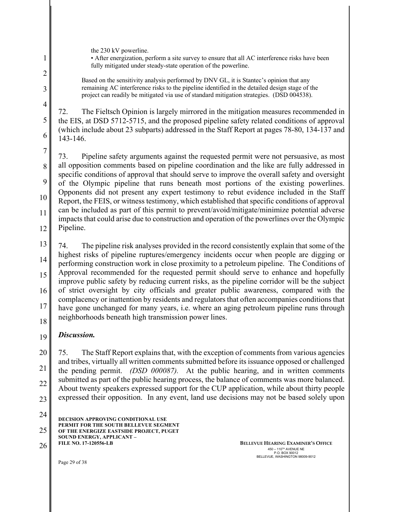the 230 kV powerline.

1

2

3

4

5

6

• After energization, perform a site survey to ensure that all AC interference risks have been fully mitigated under steady-state operation of the powerline.

Based on the sensitivity analysis performed by DNV GL, it is Stantec's opinion that any remaining AC interference risks to the pipeline identified in the detailed design stage of the project can readily be mitigated via use of standard mitigation strategies. (DSD 004538).

72. The Fieltsch Opinion is largely mirrored in the mitigation measures recommended in the EIS, at DSD 5712-5715, and the proposed pipeline safety related conditions of approval (which include about 23 subparts) addressed in the Staff Report at pages 78-80, 134-137 and 143-146.

7 8 9 10 11 12 73. Pipeline safety arguments against the requested permit were not persuasive, as most all opposition comments based on pipeline coordination and the like are fully addressed in specific conditions of approval that should serve to improve the overall safety and oversight of the Olympic pipeline that runs beneath most portions of the existing powerlines. Opponents did not present any expert testimony to rebut evidence included in the Staff Report, the FEIS, or witness testimony, which established that specific conditions of approval can be included as part of this permit to prevent/avoid/mitigate/minimize potential adverse impacts that could arise due to construction and operation of the powerlines over the Olympic Pipeline.

13 14 15 16 17 18 74. The pipeline risk analyses provided in the record consistently explain that some of the highest risks of pipeline ruptures/emergency incidents occur when people are digging or performing construction work in close proximity to a petroleum pipeline. The Conditions of Approval recommended for the requested permit should serve to enhance and hopefully improve public safety by reducing current risks, as the pipeline corridor will be the subject of strict oversight by city officials and greater public awareness, compared with the complacency or inattention by residents and regulators that often accompanies conditions that have gone unchanged for many years, i.e. where an aging petroleum pipeline runs through neighborhoods beneath high transmission power lines.

#### 19 *Discussion.*

20 21 22 23 75. The Staff Report explains that, with the exception of comments from various agencies and tribes, virtually all written comments submitted before its issuance opposed or challenged the pending permit. *(DSD 000087).* At the public hearing, and in written comments submitted as part of the public hearing process, the balance of comments was more balanced. About twenty speakers expressed support for the CUP application, while about thirty people expressed their opposition. In any event, land use decisions may not be based solely upon

**DECISION APPROVING CONDITIONAL USE PERMIT FOR THE SOUTH BELLEVUE SEGMENT OF THE ENERGIZE EASTSIDE PROJECT, PUGET SOUND ENERGY, APPLICANT – FILE NO. 17-120556-LB**  24 25 26 **BELLEVUE HEARING EXAMINER'S OFFICE** 

 $450 - 110^{7H}$  AVENUE NE P.O. BOX 90012 BELLEVUE, WASHINGTON 98009-9012

Page 29 of 38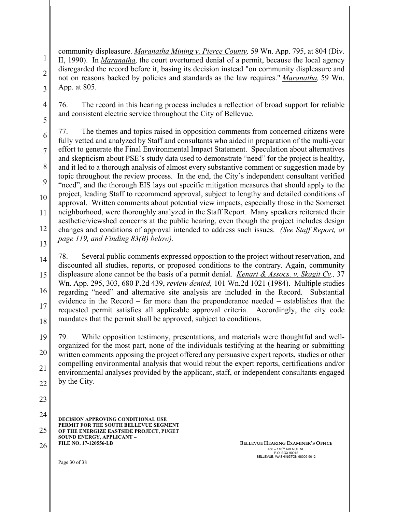community displeasure. *Maranatha Mining v. Pierce County,* 59 Wn. App. 795, at 804 (Div. II, 1990). In *Maranatha,* the court overturned denial of a permit, because the local agency disregarded the record before it, basing its decision instead "on community displeasure and not on reasons backed by policies and standards as the law requires." *Maranatha,* 59 Wn. App. at 805.

76. The record in this hearing process includes a reflection of broad support for reliable and consistent electric service throughout the City of Bellevue.

6 7 8 9 10 11 12 77. The themes and topics raised in opposition comments from concerned citizens were fully vetted and analyzed by Staff and consultants who aided in preparation of the multi-year effort to generate the Final Environmental Impact Statement. Speculation about alternatives and skepticism about PSE's study data used to demonstrate "need" for the project is healthy, and it led to a thorough analysis of almost every substantive comment or suggestion made by topic throughout the review process. In the end, the City's independent consultant verified "need", and the thorough EIS lays out specific mitigation measures that should apply to the project, leading Staff to recommend approval, subject to lengthy and detailed conditions of approval. Written comments about potential view impacts, especially those in the Somerset neighborhood, were thoroughly analyzed in the Staff Report. Many speakers reiterated their aesthetic/viewshed concerns at the public hearing, even though the project includes design changes and conditions of approval intended to address such issues. *(See Staff Report, at page 119, and Finding 83(B) below).*

13

1

2

3

4

5

14 15 16 17 18 78. Several public comments expressed opposition to the project without reservation, and discounted all studies, reports, or proposed conditions to the contrary. Again, community displeasure alone cannot be the basis of a permit denial. *Kenart & Assocs. v. Skagit Cy.,* 37 Wn. App. 295, 303, 680 P.2d 439, *review denied,* 101 Wn.2d 1021 (1984). Multiple studies regarding "need" and alternative site analysis are included in the Record. Substantial evidence in the Record – far more than the preponderance needed – establishes that the requested permit satisfies all applicable approval criteria. Accordingly, the city code mandates that the permit shall be approved, subject to conditions.

19 20 21 22 79. While opposition testimony, presentations, and materials were thoughtful and wellorganized for the most part, none of the individuals testifying at the hearing or submitting written comments opposing the project offered any persuasive expert reports, studies or other compelling environmental analysis that would rebut the expert reports, certifications and/or environmental analyses provided by the applicant, staff, or independent consultants engaged by the City.

23

**DECISION APPROVING CONDITIONAL USE PERMIT FOR THE SOUTH BELLEVUE SEGMENT OF THE ENERGIZE EASTSIDE PROJECT, PUGET SOUND ENERGY, APPLICANT – FILE NO. 17-120556-LB**  24 25

26 **BELLEVUE HEARING EXAMINER'S OFFICE**  $450 - 110^{7H}$  AVENUE NE P.O. BOX 90012 BELLEVUE, WASHINGTON 98009-9012

Page 30 of 38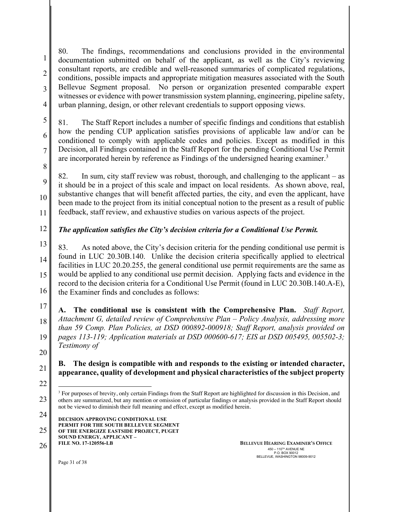1 2 3 4 80. The findings, recommendations and conclusions provided in the environmental documentation submitted on behalf of the applicant, as well as the City's reviewing consultant reports, are credible and well-reasoned summaries of complicated regulations, conditions, possible impacts and appropriate mitigation measures associated with the South Bellevue Segment proposal. No person or organization presented comparable expert witnesses or evidence with power transmission system planning, engineering, pipeline safety, urban planning, design, or other relevant credentials to support opposing views.

81. The Staff Report includes a number of specific findings and conditions that establish how the pending CUP application satisfies provisions of applicable law and/or can be conditioned to comply with applicable codes and policies. Except as modified in this Decision, all Findings contained in the Staff Report for the pending Conditional Use Permit are incorporated herein by reference as Findings of the undersigned hearing examiner.<sup>3</sup>

8

9

10

11

5

6

7

82. In sum, city staff review was robust, thorough, and challenging to the applicant – as it should be in a project of this scale and impact on local residents. As shown above, real, substantive changes that will benefit affected parties, the city, and even the applicant, have been made to the project from its initial conceptual notion to the present as a result of public feedback, staff review, and exhaustive studies on various aspects of the project.

#### 12 *The application satisfies the City's decision criteria for a Conditional Use Permit.*

13 14 15 16 83. As noted above, the City's decision criteria for the pending conditional use permit is found in LUC 20.30B.140. Unlike the decision criteria specifically applied to electrical facilities in LUC 20.20.255, the general conditional use permit requirements are the same as would be applied to any conditional use permit decision. Applying facts and evidence in the record to the decision criteria for a Conditional Use Permit (found in LUC 20.30B.140.A-E), the Examiner finds and concludes as follows:

17 18 19 20 **A. The conditional use is consistent with the Comprehensive Plan.** *Staff Report, Attachment G, detailed review of Comprehensive Plan – Policy Analysis, addressing more than 59 Comp. Plan Policies, at DSD 000892-000918; Staff Report, analysis provided on pages 113-119; Application materials at DSD 000600-617; EIS at DSD 005495, 005502-3; Testimony of* 

# **B. The design is compatible with and responds to the existing or intended character, appearance, quality of development and physical characteristics of the subject property**

 $\overline{a}$ 

23

21

26 **BELLEVUE HEARING EXAMINER'S OFFICE**  $450 - 110^{7H}$  AVENUE NE P.O. BOX 90012 BELLEVUE, WASHINGTON 98009-9012

Page 31 of 38

<sup>22</sup>

<sup>&</sup>lt;sup>3</sup> For purposes of brevity, only certain Findings from the Staff Report are highlighted for discussion in this Decision, and others are summarized, but any mention or omission of particular findings or analysis provided in the Staff Report should not be viewed to diminish their full meaning and effect, except as modified herein.

**DECISION APPROVING CONDITIONAL USE PERMIT FOR THE SOUTH BELLEVUE SEGMENT OF THE ENERGIZE EASTSIDE PROJECT, PUGET SOUND ENERGY, APPLICANT – FILE NO. 17-120556-LB**  24 25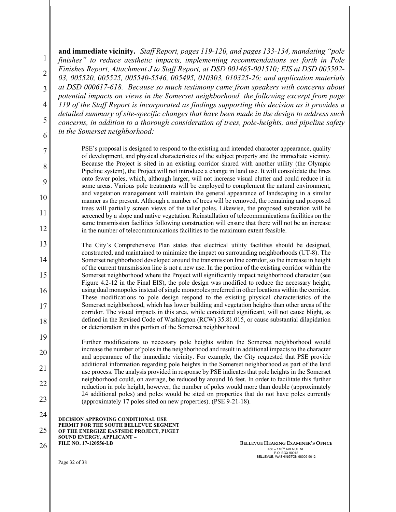1 2 3 4 5 6 7 **and immediate vicinity.** *Staff Report, pages 119-120, and pages 133-134, mandating "pole finishes" to reduce aesthetic impacts, implementing recommendations set forth in Pole Finishes Report, Attachment J to Staff Report, at DSD 001465-001510; EIS at DSD 005502- 03, 005520, 005525, 005540-5546, 005495, 010303, 010325-26; and application materials at DSD 000617-618. Because so much testimony came from speakers with concerns about potential impacts on views in the Somerset neighborhood, the following excerpt from page 119 of the Staff Report is incorporated as findings supporting this decision as it provides a detailed summary of site-specific changes that have been made in the design to address such concerns, in addition to a thorough consideration of trees, pole-heights, and pipeline safety in the Somerset neighborhood:* PSE's proposal is designed to respond to the existing and intended character appearance, quality

of development, and physical characteristics of the subject property and the immediate vicinity. Because the Project is sited in an existing corridor shared with another utility (the Olympic Pipeline system), the Project will not introduce a change in land use. It will consolidate the lines onto fewer poles, which, although larger, will not increase visual clutter and could reduce it in some areas. Various pole treatments will be employed to complement the natural environment, and vegetation management will maintain the general appearance of landscaping in a similar manner as the present. Although a number of trees will be removed, the remaining and proposed trees will partially screen views of the taller poles. Likewise, the proposed substation will be screened by a slope and native vegetation. Reinstallation of telecommunications facilities on the same transmission facilities following construction will ensure that there will not be an increase in the number of telecommunications facilities to the maximum extent feasible.

13 14 15 16 17 18 The City's Comprehensive Plan states that electrical utility facilities should be designed, constructed, and maintained to minimize the impact on surrounding neighborhoods (UT-8). The Somerset neighborhood developed around the transmission line corridor, so the increase in height of the current transmission line is not a new use. In the portion of the existing corridor within the Somerset neighborhood where the Project will significantly impact neighborhood character (see Figure 4.2-12 in the Final EIS), the pole design was modified to reduce the necessary height, using dual monopoles instead of single monopoles preferred in other locations within the corridor. These modifications to pole design respond to the existing physical characteristics of the Somerset neighborhood, which has lower building and vegetation heights than other areas of the corridor. The visual impacts in this area, while considered significant, will not cause blight, as defined in the Revised Code of Washington (RCW) 35.81.015, or cause substantial dilapidation or deterioration in this portion of the Somerset neighborhood.

19 20 21 22 23 Further modifications to necessary pole heights within the Somerset neighborhood would increase the number of poles in the neighborhood and result in additional impacts to the character and appearance of the immediate vicinity. For example, the City requested that PSE provide additional information regarding pole heights in the Somerset neighborhood as part of the land use process. The analysis provided in response by PSE indicates that pole heights in the Somerset neighborhood could, on average, be reduced by around 16 feet. In order to facilitate this further reduction in pole height, however, the number of poles would more than double (approximately 24 additional poles) and poles would be sited on properties that do not have poles currently (approximately 17 poles sited on new properties). (PSE 9-21-18).

**DECISION APPROVING CONDITIONAL USE PERMIT FOR THE SOUTH BELLEVUE SEGMENT OF THE ENERGIZE EASTSIDE PROJECT, PUGET SOUND ENERGY, APPLICANT – FILE NO. 17-120556-LB**  24 25

26 **BELLEVUE HEARING EXAMINER'S OFFICE**  $450 - 110^{Th}$  AVENUE NE P.O. BOX 90012 BELLEVUE, WASHINGTON 98009-9012

Page 32 of 38

8

9

10

11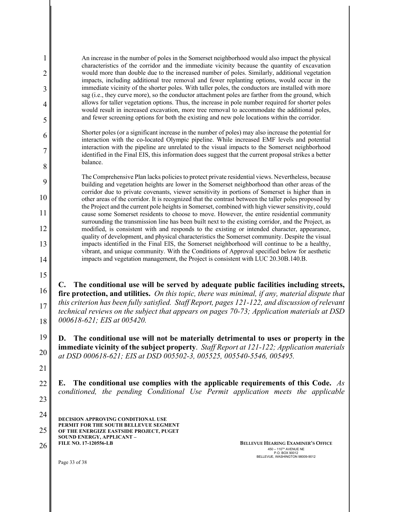1 2 3 4 5 6 7 8 9 10 11 12 13 14 15 16 17 18 19 20 21 22 An increase in the number of poles in the Somerset neighborhood would also impact the physical characteristics of the corridor and the immediate vicinity because the quantity of excavation would more than double due to the increased number of poles. Similarly, additional vegetation impacts, including additional tree removal and fewer replanting options, would occur in the immediate vicinity of the shorter poles. With taller poles, the conductors are installed with more sag (i.e., they curve more), so the conductor attachment poles are farther from the ground, which allows for taller vegetation options. Thus, the increase in pole number required for shorter poles would result in increased excavation, more tree removal to accommodate the additional poles, and fewer screening options for both the existing and new pole locations within the corridor. Shorter poles (or a significant increase in the number of poles) may also increase the potential for interaction with the co-located Olympic pipeline. While increased EMF levels and potential interaction with the pipeline are unrelated to the visual impacts to the Somerset neighborhood identified in the Final EIS, this information does suggest that the current proposal strikes a better balance. The Comprehensive Plan lacks policies to protect private residential views. Nevertheless, because building and vegetation heights are lower in the Somerset neighborhood than other areas of the corridor due to private covenants, viewer sensitivity in portions of Somerset is higher than in other areas of the corridor. It is recognized that the contrast between the taller poles proposed by the Project and the current pole heights in Somerset, combined with high viewer sensitivity, could cause some Somerset residents to choose to move. However, the entire residential community surrounding the transmission line has been built next to the existing corridor, and the Project, as modified, is consistent with and responds to the existing or intended character, appearance, quality of development, and physical characteristics the Somerset community. Despite the visual impacts identified in the Final EIS, the Somerset neighborhood will continue to be a healthy, vibrant, and unique community. With the Conditions of Approval specified below for aesthetic impacts and vegetation management, the Project is consistent with LUC 20.30B.140.B. **C. The conditional use will be served by adequate public facilities including streets, fire protection, and utilities.** *On this topic, there was minimal, if any, material dispute that this criterion has been fully satisfied. Staff Report, pages 121-122, and discussion of relevant technical reviews on the subject that appears on pages 70-73; Application materials at DSD 000618-621; EIS at 005420.* **D. The conditional use will not be materially detrimental to uses or property in the immediate vicinity of the subject property**. *Staff Report at 121-122; Application materials at DSD 000618-621; EIS at DSD 005502-3, 005525, 005540-5546, 005495.* **E. The conditional use complies with the applicable requirements of this Code.** *As conditioned, the pending Conditional Use Permit application meets the applicable* 

**DECISION APPROVING CONDITIONAL USE PERMIT FOR THE SOUTH BELLEVUE SEGMENT OF THE ENERGIZE EASTSIDE PROJECT, PUGET SOUND ENERGY, APPLICANT – FILE NO. 17-120556-LB**  24 25

26 **BELLEVUE HEARING EXAMINER'S OFFICE**  $450 - 110^{7H}$  AVENUE NE P.O. BOX 90012 BELLEVUE, WASHINGTON 98009-9012

Page 33 of 38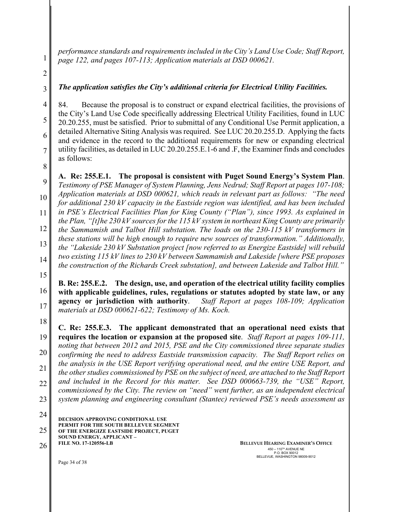*performance standards and requirements included in the City's Land Use Code; Staff Report, page 122, and pages 107-113; Application materials at DSD 000621.* 

2

3

4

5

6

7

8

1

# *The application satisfies the City's additional criteria for Electrical Utility Facilities.*

84. Because the proposal is to construct or expand electrical facilities, the provisions of the City's Land Use Code specifically addressing Electrical Utility Facilities, found in LUC 20.20.255, must be satisfied. Prior to submittal of any Conditional Use Permit application, a detailed Alternative Siting Analysis was required. See LUC 20.20.255.D. Applying the facts and evidence in the record to the additional requirements for new or expanding electrical utility facilities, as detailed in LUC 20.20.255.E.1-6 and .F, the Examiner finds and concludes as follows:

9 10 11 12 13 14 **A. Re: 255.E.1. The proposal is consistent with Puget Sound Energy's System Plan**. *Testimony of PSE Manager of System Planning, Jens Nedrud; Staff Report at pages 107-108; Application materials at DSD 000621, which reads in relevant part as follows: "The need for additional 230 kV capacity in the Eastside region was identified, and has been included in PSE's Electrical Facilities Plan for King County ("Plan"), since 1993. As explained in the Plan, "[t]he 230 kV sources for the 115 kV system in northeast King County are primarily the Sammamish and Talbot Hill substation. The loads on the 230-115 kV transformers in these stations will be high enough to require new sources of transformation." Additionally, the "Lakeside 230 kV Substation project [now referred to as Energize Eastside] will rebuild two existing 115 kV lines to 230 kV between Sammamish and Lakeside [where PSE proposes the construction of the Richards Creek substation], and between Lakeside and Talbot Hill."* 

15

16 17 **B. Re: 255.E.2. The design, use, and operation of the electrical utility facility complies with applicable guidelines, rules, regulations or statutes adopted by state law, or any agency or jurisdiction with authority**. *Staff Report at pages 108-109; Application materials at DSD 000621-622; Testimony of Ms. Koch.* 

18 19 20 21 22 23 **C. Re: 255.E.3. The applicant demonstrated that an operational need exists that requires the location or expansion at the proposed site**. *Staff Report at pages 109-111, noting that between 2012 and 2015, PSE and the City commissioned three separate studies confirming the need to address Eastside transmission capacity. The Staff Report relies on the analysis in the USE Report verifying operational need, and the entire USE Report, and the other studies commissioned by PSE on the subject of need, are attached to the Staff Report and included in the Record for this matter. See DSD 000663-739, the "USE" Report, commissioned by the City. The review on "need" went further, as an independent electrical system planning and engineering consultant (Stantec) reviewed PSE's needs assessment as* 

**DECISION APPROVING CONDITIONAL USE PERMIT FOR THE SOUTH BELLEVUE SEGMENT OF THE ENERGIZE EASTSIDE PROJECT, PUGET SOUND ENERGY, APPLICANT – FILE NO. 17-120556-LB**  24 25

26 **BELLEVUE HEARING EXAMINER'S OFFICE**  $450 - 110^{7H}$  AVENUE NE P.O. BOX 90012 BELLEVUE, WASHINGTON 98009-9012

Page 34 of 38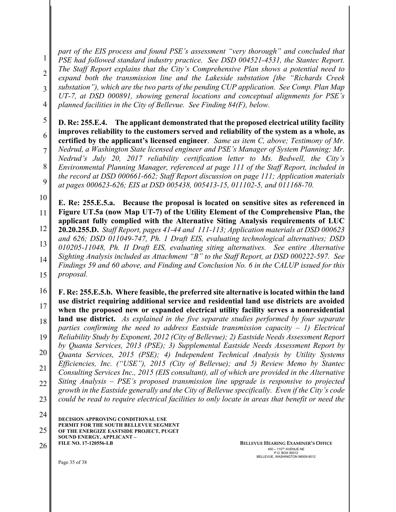1 2 3 4 *part of the EIS process and found PSE's assessment "very thorough" and concluded that PSE had followed standard industry practice. See DSD 004521-4531, the Stantec Report. The Staff Report explains that the City's Comprehensive Plan shows a potential need to expand both the transmission line and the Lakeside substation [the "Richards Creek substation"), which are the two parts of the pending CUP application. See Comp. Plan Map UT-7, at DSD 000891, showing general locations and conceptual alignments for PSE's planned facilities in the City of Bellevue. See Finding 84(F), below.*

5 6 **D. Re: 255.E.4. The applicant demonstrated that the proposed electrical utility facility improves reliability to the customers served and reliability of the system as a whole, as certified by the applicant's licensed engineer**. *Same as item C, above; Testimony of Mr.* 

7 8 9 *Nedrud, a Washington State licensed engineer and PSE's Manager of System Planning; Mr. Nedrud's July 20, 2017 reliability certification letter to Ms. Bedwell, the City's Environmental Planning Manager, referenced at page 111 of the Staff Report, included in the record at DSD 000661-662; Staff Report discussion on page 111; Application materials at pages 000623-626; EIS at DSD 005438, 005413-15, 011102-5, and 011168-70.*

10

11 12 **E. Re: 255.E.5.a. Because the proposal is located on sensitive sites as referenced in Figure UT.5a (now Map UT-7) of the Utility Element of the Comprehensive Plan, the applicant fully complied with the Alternative Siting Analysis requirements of LUC 20.20.255.D.** *Staff Report, pages 41-44 and 111-113; Application materials at DSD 000623* 

13 14 15 *and 626; DSD 011049-747, Ph. 1 Draft EIS, evaluating technological alternatives; DSD 010205-11048, Ph. II Draft EIS, evaluating siting alternatives. See entire Alternative Sighting Analysis included as Attachment "B" to the Staff Report, at DSD 000222-597. See Findings 59 and 60 above, and Finding and Conclusion No. 6 in the CALUP issued for this proposal.*

16 17 **F. Re: 255.E.5.b. Where feasible, the preferred site alternative is located within the land use district requiring additional service and residential land use districts are avoided when the proposed new or expanded electrical utility facility serves a nonresidential** 

- 18 **land use district.** *As explained in the five separate studies performed by four separate parties confirming the need to address Eastside transmission capacity – 1) Electrical*
- 19 20 *Reliability Study by Exponent, 2012 (City of Bellevue); 2) Eastside Needs Assessment Report by Quanta Services, 2013 (PSE); 3) Supplemental Eastside Needs Assessment Report by*

21 *Quanta Services, 2015 (PSE); 4) Independent Technical Analysis by Utility Systems Efficiencies, Inc. ("USE"), 2015 (City of Bellevue); and 5) Review Memo by Stantec Consulting Services Inc., 2015 (EIS consultant), all of which are provided in the Alternative* 

22 23 *Siting Analysis – PSE's proposed transmission line upgrade is responsive to projected growth in the Eastside generally and the City of Bellevue specifically. Even if the City's code could be read to require electrical facilities to only locate in areas that benefit or need the* 

24

**DECISION APPROVING CONDITIONAL USE PERMIT FOR THE SOUTH BELLEVUE SEGMENT OF THE ENERGIZE EASTSIDE PROJECT, PUGET SOUND ENERGY, APPLICANT – FILE NO. 17-120556-LB**  25

26 **BELLEVUE HEARING EXAMINER'S OFFICE**  $450 - 110^{7H}$  AVENUE NE P.O. BOX 90012 BELLEVUE, WASHINGTON 98009-9012

Page 35 of 38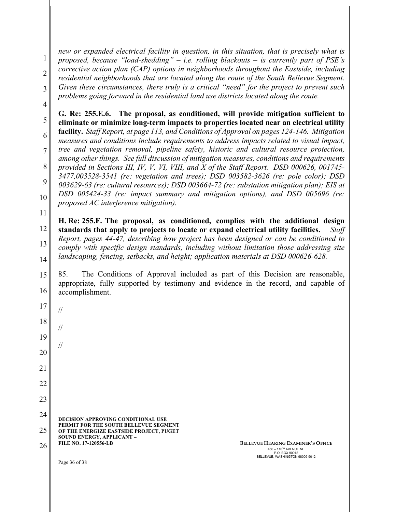1 2 3 *new or expanded electrical facility in question, in this situation, that is precisely what is proposed, because "load-shedding" – i.e. rolling blackouts – is currently part of PSE's corrective action plan (CAP) options in neighborhoods throughout the Eastside, including residential neighborhoods that are located along the route of the South Bellevue Segment. Given these circumstances, there truly is a critical "need" for the project to prevent such problems going forward in the residential land use districts located along the route.* 

4

11

5 6 7 8 9 10 **G. Re: 255.E.6. The proposal, as conditioned, will provide mitigation sufficient to eliminate or minimize long-term impacts to properties located near an electrical utility facility.** *Staff Report, at page 113, and Conditions of Approval on pages 124-146. Mitigation measures and conditions include requirements to address impacts related to visual impact, tree and vegetation removal, pipeline safety, historic and cultural resource protection, among other things. See full discussion of mitigation measures, conditions and requirements provided in Sections III, IV, V, VI, VIII, and X of the Staff Report. DSD 000626, 001745- 3477,003528-3541 (re: vegetation and trees); DSD 003582-3626 (re: pole color); DSD 003629-63 (re: cultural resources); DSD 003664-72 (re: substation mitigation plan); EIS at DSD 005424-33 (re: impact summary and mitigation options), and DSD 005696 (re: proposed AC interference mitigation).*

12 13 14 **H. Re: 255.F. The proposal, as conditioned, complies with the additional design standards that apply to projects to locate or expand electrical utility facilities.** *Staff Report, pages 44-47, describing how project has been designed or can be conditioned to comply with specific design standards, including without limitation those addressing site landscaping, fencing, setbacks, and height; application materials at DSD 000626-628.* 

15 16 85. The Conditions of Approval included as part of this Decision are reasonable, appropriate, fully supported by testimony and evidence in the record, and capable of accomplishment.

**DECISION APPROVING CONDITIONAL USE PERMIT FOR THE SOUTH BELLEVUE SEGMENT OF THE ENERGIZE EASTSIDE PROJECT, PUGET SOUND ENERGY, APPLICANT – FILE NO. 17-120556-LB**  17 18 19 20 21 22 23 24 25 26 **BELLEVUE HEARING EXAMINER'S OFFICE** // // //

 $450 - 110^{7H}$  AVENUE NE P.O. BOX 90012 BELLEVUE, WASHINGTON 98009-9012

Page 36 of 38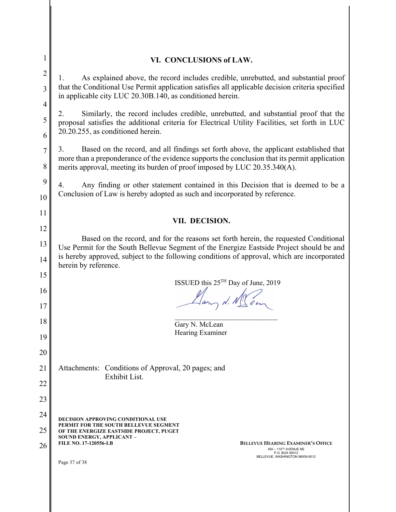| 1              | VI. CONCLUSIONS of LAW.                                                                                                                                                          |
|----------------|----------------------------------------------------------------------------------------------------------------------------------------------------------------------------------|
| $\overline{2}$ | As explained above, the record includes credible, unrebutted, and substantial proof<br>Ι.                                                                                        |
| 3              | that the Conditional Use Permit application satisfies all applicable decision criteria specified<br>in applicable city LUC 20.30B.140, as conditioned herein.                    |
| $\overline{4}$ | Similarly, the record includes credible, unrebutted, and substantial proof that the<br>2.                                                                                        |
| 5<br>6         | proposal satisfies the additional criteria for Electrical Utility Facilities, set forth in LUC<br>20.20.255, as conditioned herein.                                              |
| $\overline{7}$ | Based on the record, and all findings set forth above, the applicant established that<br>3.                                                                                      |
| 8              | more than a preponderance of the evidence supports the conclusion that its permit application<br>merits approval, meeting its burden of proof imposed by LUC 20.35.340(A).       |
| 9              | Any finding or other statement contained in this Decision that is deemed to be a<br>4.                                                                                           |
| 10             | Conclusion of Law is hereby adopted as such and incorporated by reference.                                                                                                       |
| 11             | VII. DECISION.                                                                                                                                                                   |
| 12             |                                                                                                                                                                                  |
| 13             | Based on the record, and for the reasons set forth herein, the requested Conditional<br>Use Permit for the South Bellevue Segment of the Energize Eastside Project should be and |
| 14             | is hereby approved, subject to the following conditions of approval, which are incorporated<br>herein by reference.                                                              |
| 15             |                                                                                                                                                                                  |
| 16             | ISSUED this $25^{TH}$ Day of June, 2019<br>Llang N. M. Com                                                                                                                       |
| 17             |                                                                                                                                                                                  |
| 18             | Gary N. McLean                                                                                                                                                                   |
| 19             | Hearing Examiner                                                                                                                                                                 |
| 20             |                                                                                                                                                                                  |
| 21             | Attachments: Conditions of Approval, 20 pages; and                                                                                                                               |
| 22             | Exhibit List.                                                                                                                                                                    |
| 23             |                                                                                                                                                                                  |
| 24             |                                                                                                                                                                                  |
| 25             | <b>DECISION APPROVING CONDITIONAL USE</b><br>PERMIT FOR THE SOUTH BELLEVUE SEGMENT<br>OF THE ENERGIZE EASTSIDE PROJECT, PUGET                                                    |
| 26             | SOUND ENERGY, APPLICANT -<br><b>FILE NO. 17-120556-LB</b><br><b>BELLEVUE HEARING EXAMINER'S OFFICE</b>                                                                           |
|                | 450 - 110TH AVENUE NE<br>P.O. BOX 90012<br>BELLEVUE, WASHINGTON 98009-9012<br>Page 37 of 38                                                                                      |
|                |                                                                                                                                                                                  |